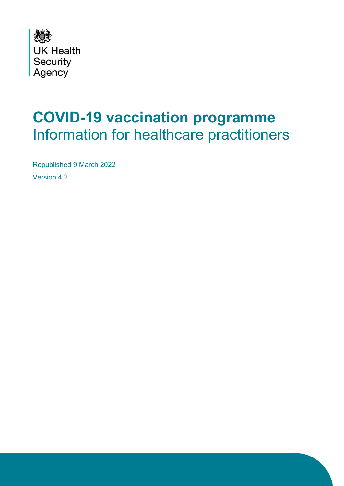

# **COVID-19 vaccination programme** Information for healthcare practitioners

Republished 9 March 2022

Version 4.2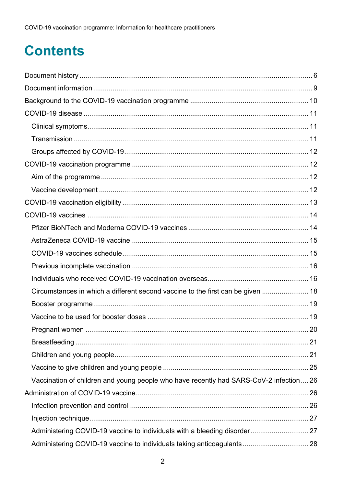# **Contents**

| Circumstances in which a different second vaccine to the first can be given  18         |  |
|-----------------------------------------------------------------------------------------|--|
|                                                                                         |  |
|                                                                                         |  |
|                                                                                         |  |
|                                                                                         |  |
|                                                                                         |  |
|                                                                                         |  |
| Vaccination of children and young people who have recently had SARS-CoV-2 infection  26 |  |
|                                                                                         |  |
|                                                                                         |  |
|                                                                                         |  |
|                                                                                         |  |
|                                                                                         |  |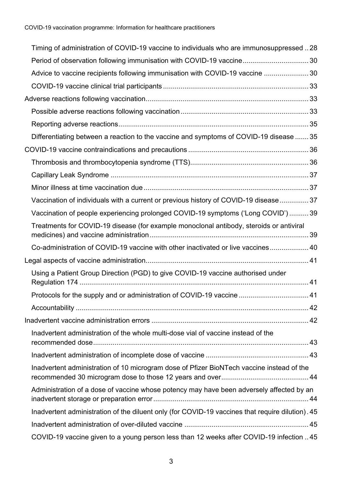| Timing of administration of COVID-19 vaccine to individuals who are immunosuppressed 28          |  |
|--------------------------------------------------------------------------------------------------|--|
| Period of observation following immunisation with COVID-19 vaccine 30                            |  |
| Advice to vaccine recipients following immunisation with COVID-19 vaccine  30                    |  |
|                                                                                                  |  |
|                                                                                                  |  |
|                                                                                                  |  |
|                                                                                                  |  |
| Differentiating between a reaction to the vaccine and symptoms of COVID-19 disease  35           |  |
|                                                                                                  |  |
|                                                                                                  |  |
|                                                                                                  |  |
|                                                                                                  |  |
| Vaccination of individuals with a current or previous history of COVID-19 disease  37            |  |
| Vaccination of people experiencing prolonged COVID-19 symptoms ('Long COVID')  39                |  |
| Treatments for COVID-19 disease (for example monoclonal antibody, steroids or antiviral          |  |
| Co-administration of COVID-19 vaccine with other inactivated or live vaccines 40                 |  |
|                                                                                                  |  |
| Using a Patient Group Direction (PGD) to give COVID-19 vaccine authorised under                  |  |
| Protocols for the supply and or administration of COVID-19 vaccine  41                           |  |
|                                                                                                  |  |
|                                                                                                  |  |
| Inadvertent administration of the whole multi-dose vial of vaccine instead of the                |  |
|                                                                                                  |  |
| Inadvertent administration of 10 microgram dose of Pfizer BioNTech vaccine instead of the        |  |
| Administration of a dose of vaccine whose potency may have been adversely affected by an         |  |
| Inadvertent administration of the diluent only (for COVID-19 vaccines that require dilution). 45 |  |
|                                                                                                  |  |
| COVID-19 vaccine given to a young person less than 12 weeks after COVID-19 infection  45         |  |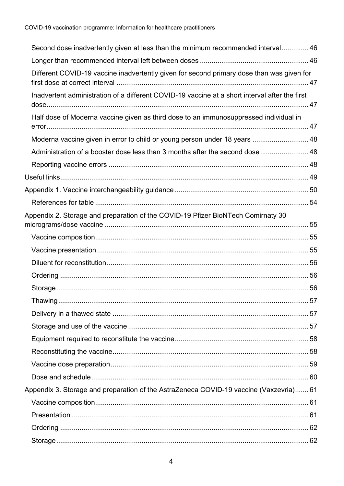| Second dose inadvertently given at less than the minimum recommended interval 46               |  |
|------------------------------------------------------------------------------------------------|--|
|                                                                                                |  |
| Different COVID-19 vaccine inadvertently given for second primary dose than was given for      |  |
| Inadvertent administration of a different COVID-19 vaccine at a short interval after the first |  |
| Half dose of Moderna vaccine given as third dose to an immunosuppressed individual in          |  |
| Moderna vaccine given in error to child or young person under 18 years  48                     |  |
| Administration of a booster dose less than 3 months after the second dose 48                   |  |
|                                                                                                |  |
|                                                                                                |  |
|                                                                                                |  |
|                                                                                                |  |
| Appendix 2. Storage and preparation of the COVID-19 Pfizer BioNTech Comirnaty 30               |  |
|                                                                                                |  |
|                                                                                                |  |
|                                                                                                |  |
|                                                                                                |  |
|                                                                                                |  |
|                                                                                                |  |
|                                                                                                |  |
|                                                                                                |  |
|                                                                                                |  |
|                                                                                                |  |
|                                                                                                |  |
|                                                                                                |  |
| Appendix 3. Storage and preparation of the AstraZeneca COVID-19 vaccine (Vaxzevria) 61         |  |
|                                                                                                |  |
|                                                                                                |  |
|                                                                                                |  |
|                                                                                                |  |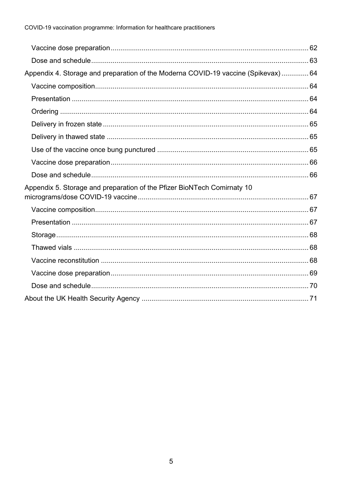| Appendix 4. Storage and preparation of the Moderna COVID-19 vaccine (Spikevax) 64 |  |
|-----------------------------------------------------------------------------------|--|
|                                                                                   |  |
|                                                                                   |  |
|                                                                                   |  |
|                                                                                   |  |
|                                                                                   |  |
|                                                                                   |  |
|                                                                                   |  |
|                                                                                   |  |
| Appendix 5. Storage and preparation of the Pfizer BioNTech Comirnaty 10           |  |
|                                                                                   |  |
|                                                                                   |  |
|                                                                                   |  |
|                                                                                   |  |
|                                                                                   |  |
|                                                                                   |  |
|                                                                                   |  |
|                                                                                   |  |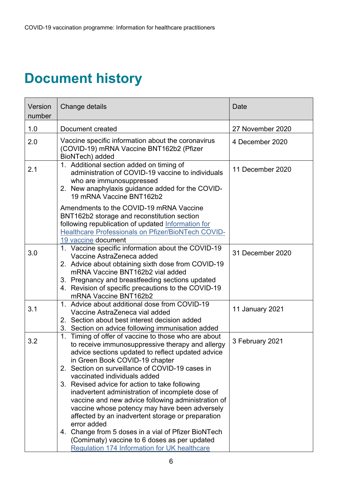# <span id="page-5-0"></span>**Document history**

| Version<br>number | Change details                                                                                                                                                                                                                                                                                                                                                                                                                                                                                                                                                                                                                | Date             |
|-------------------|-------------------------------------------------------------------------------------------------------------------------------------------------------------------------------------------------------------------------------------------------------------------------------------------------------------------------------------------------------------------------------------------------------------------------------------------------------------------------------------------------------------------------------------------------------------------------------------------------------------------------------|------------------|
| 1.0               | Document created                                                                                                                                                                                                                                                                                                                                                                                                                                                                                                                                                                                                              | 27 November 2020 |
| 2.0               | Vaccine specific information about the coronavirus<br>(COVID-19) mRNA Vaccine BNT162b2 (Pfizer<br>BioNTech) added                                                                                                                                                                                                                                                                                                                                                                                                                                                                                                             | 4 December 2020  |
| 2.1               | 1. Additional section added on timing of<br>administration of COVID-19 vaccine to individuals<br>who are immunosuppressed<br>2. New anaphylaxis guidance added for the COVID-<br>19 mRNA Vaccine BNT162b2                                                                                                                                                                                                                                                                                                                                                                                                                     | 11 December 2020 |
|                   | Amendments to the COVID-19 mRNA Vaccine<br>BNT162b2 storage and reconstitution section<br>following republication of updated Information for<br><b>Healthcare Professionals on Pfizer/BioNTech COVID-</b><br>19 vaccine document                                                                                                                                                                                                                                                                                                                                                                                              |                  |
| 3.0               | 1. Vaccine specific information about the COVID-19<br>Vaccine AstraZeneca added<br>2. Advice about obtaining sixth dose from COVID-19<br>mRNA Vaccine BNT162b2 vial added<br>3. Pregnancy and breastfeeding sections updated<br>4. Revision of specific precautions to the COVID-19<br>mRNA Vaccine BNT162b2                                                                                                                                                                                                                                                                                                                  | 31 December 2020 |
| 3.1               | 1. Advice about additional dose from COVID-19<br>Vaccine AstraZeneca vial added<br>2. Section about best interest decision added<br>3. Section on advice following immunisation added                                                                                                                                                                                                                                                                                                                                                                                                                                         | 11 January 2021  |
| 3.2               | Timing of offer of vaccine to those who are about<br>1.<br>to receive immunosuppressive therapy and allergy<br>advice sections updated to reflect updated advice<br>in Green Book COVID-19 chapter<br>2. Section on surveillance of COVID-19 cases in<br>vaccinated individuals added<br>3. Revised advice for action to take following<br>inadvertent administration of incomplete dose of<br>vaccine and new advice following administration of<br>vaccine whose potency may have been adversely<br>affected by an inadvertent storage or preparation<br>error added<br>4. Change from 5 doses in a vial of Pfizer BioNTech | 3 February 2021  |
|                   | (Comirnaty) vaccine to 6 doses as per updated<br><b>Regulation 174 Information for UK healthcare</b>                                                                                                                                                                                                                                                                                                                                                                                                                                                                                                                          |                  |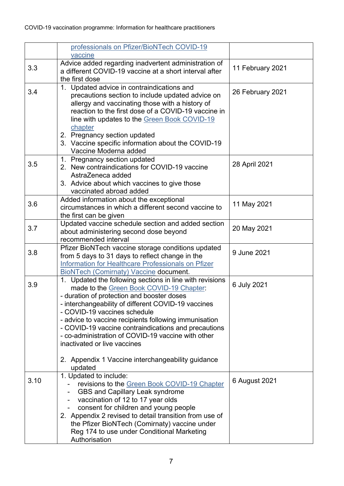|      | professionals on Pfizer/BioNTech COVID-19<br>vaccine                                                                                                                                                                                                                                                                                                                                                                                                                                                  |                  |
|------|-------------------------------------------------------------------------------------------------------------------------------------------------------------------------------------------------------------------------------------------------------------------------------------------------------------------------------------------------------------------------------------------------------------------------------------------------------------------------------------------------------|------------------|
| 3.3  | Advice added regarding inadvertent administration of<br>a different COVID-19 vaccine at a short interval after<br>the first dose                                                                                                                                                                                                                                                                                                                                                                      | 11 February 2021 |
| 3.4  | 1. Updated advice in contraindications and<br>precautions section to include updated advice on<br>allergy and vaccinating those with a history of<br>reaction to the first dose of a COVID-19 vaccine in<br>line with updates to the Green Book COVID-19<br>chapter<br>2. Pregnancy section updated                                                                                                                                                                                                   | 26 February 2021 |
|      | 3. Vaccine specific information about the COVID-19<br>Vaccine Moderna added                                                                                                                                                                                                                                                                                                                                                                                                                           |                  |
| 3.5  | 1. Pregnancy section updated<br>2. New contraindications for COVID-19 vaccine<br>AstraZeneca added<br>3. Advice about which vaccines to give those<br>vaccinated abroad added                                                                                                                                                                                                                                                                                                                         | 28 April 2021    |
| 3.6  | Added information about the exceptional<br>circumstances in which a different second vaccine to<br>the first can be given                                                                                                                                                                                                                                                                                                                                                                             | 11 May 2021      |
| 3.7  | Updated vaccine schedule section and added section<br>about administering second dose beyond<br>recommended interval                                                                                                                                                                                                                                                                                                                                                                                  | 20 May 2021      |
| 3.8  | Pfizer BioNTech vaccine storage conditions updated<br>from 5 days to 31 days to reflect change in the<br>Information for Healthcare Professionals on Pfizer<br><b>BioNTech (Comirnaty) Vaccine document.</b>                                                                                                                                                                                                                                                                                          | 9 June 2021      |
| 3.9  | 1. Updated the following sections in line with revisions<br>made to the Green Book COVID-19 Chapter:<br>- duration of protection and booster doses<br>- interchangeability of different COVID-19 vaccines<br>- COVID-19 vaccines schedule<br>- advice to vaccine recipients following immunisation<br>- COVID-19 vaccine contraindications and precautions<br>- co-administration of COVID-19 vaccine with other<br>inactivated or live vaccines<br>2. Appendix 1 Vaccine interchangeability guidance | 6 July 2021      |
| 3.10 | updated<br>1. Updated to include:                                                                                                                                                                                                                                                                                                                                                                                                                                                                     |                  |
|      | revisions to the Green Book COVID-19 Chapter<br><b>GBS and Capillary Leak syndrome</b><br>vaccination of 12 to 17 year olds<br>$\overline{\phantom{a}}$<br>consent for children and young people<br>2. Appendix 2 revised to detail transition from use of<br>the Pfizer BioNTech (Comirnaty) vaccine under<br>Reg 174 to use under Conditional Marketing<br>Authorisation                                                                                                                            | 6 August 2021    |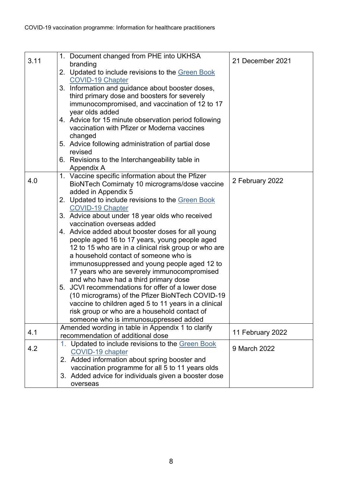| 3.11 | 1. Document changed from PHE into UKHSA<br>branding                          | 21 December 2021 |
|------|------------------------------------------------------------------------------|------------------|
|      | 2. Updated to include revisions to the Green Book                            |                  |
|      | <b>COVID-19 Chapter</b>                                                      |                  |
|      | 3. Information and guidance about booster doses,                             |                  |
|      | third primary dose and boosters for severely                                 |                  |
|      | immunocompromised, and vaccination of 12 to 17                               |                  |
|      | year olds added                                                              |                  |
|      | 4. Advice for 15 minute observation period following                         |                  |
|      | vaccination with Pfizer or Moderna vaccines                                  |                  |
|      | changed                                                                      |                  |
|      | 5. Advice following administration of partial dose                           |                  |
|      | revised                                                                      |                  |
|      | 6. Revisions to the Interchangeability table in                              |                  |
|      | Appendix A                                                                   |                  |
| 4.0  | 1. Vaccine specific information about the Pfizer                             | 2 February 2022  |
|      | BioNTech Comirnaty 10 micrograms/dose vaccine                                |                  |
|      | added in Appendix 5                                                          |                  |
|      | 2. Updated to include revisions to the Green Book<br><b>COVID-19 Chapter</b> |                  |
|      | 3. Advice about under 18 year olds who received                              |                  |
|      | vaccination overseas added                                                   |                  |
|      | 4. Advice added about booster doses for all young                            |                  |
|      | people aged 16 to 17 years, young people aged                                |                  |
|      | 12 to 15 who are in a clinical risk group or who are                         |                  |
|      | a household contact of someone who is                                        |                  |
|      | immunosuppressed and young people aged 12 to                                 |                  |
|      | 17 years who are severely immunocompromised                                  |                  |
|      | and who have had a third primary dose                                        |                  |
|      | 5. JCVI recommendations for offer of a lower dose                            |                  |
|      | (10 micrograms) of the Pfizer BioNTech COVID-19                              |                  |
|      | vaccine to children aged 5 to 11 years in a clinical                         |                  |
|      | risk group or who are a household contact of                                 |                  |
|      | someone who is immunosuppressed added                                        |                  |
| 4.1  | Amended wording in table in Appendix 1 to clarify                            | 11 February 2022 |
|      | recommendation of additional dose                                            |                  |
| 4.2  | 1. Updated to include revisions to the Green Book                            | 9 March 2022     |
|      | <b>COVID-19 chapter</b>                                                      |                  |
|      | 2. Added information about spring booster and                                |                  |
|      | vaccination programme for all 5 to 11 years olds                             |                  |
|      | 3. Added advice for individuals given a booster dose                         |                  |
|      | overseas                                                                     |                  |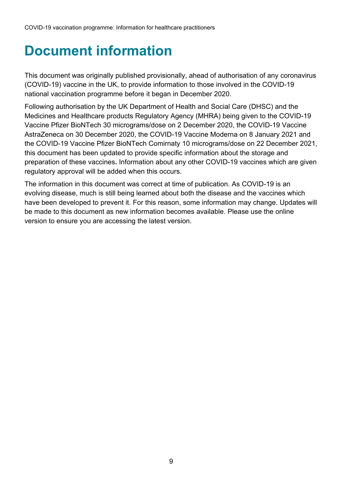# <span id="page-8-0"></span>**Document information**

This document was originally published provisionally, ahead of authorisation of any coronavirus (COVID-19) vaccine in the UK, to provide information to those involved in the COVID-19 national vaccination programme before it began in December 2020.

Following authorisation by the UK Department of Health and Social Care (DHSC) and the Medicines and Healthcare products Regulatory Agency (MHRA) being given to the COVID-19 Vaccine Pfizer BioNTech 30 micrograms/dose on 2 December 2020, the COVID-19 Vaccine AstraZeneca on 30 December 2020, the COVID-19 Vaccine Moderna on 8 January 2021 and the COVID-19 Vaccine Pfizer BioNTech Comirnaty 10 micrograms/dose on 22 December 2021, this document has been updated to provide specific information about the storage and preparation of these vaccines**.** Information about any other COVID-19 vaccines which are given regulatory approval will be added when this occurs.

The information in this document was correct at time of publication. As COVID-19 is an evolving disease, much is still being learned about both the disease and the vaccines which have been developed to prevent it. For this reason, some information may change. Updates will be made to this document as new information becomes available. Please use the online version to ensure you are accessing the latest version.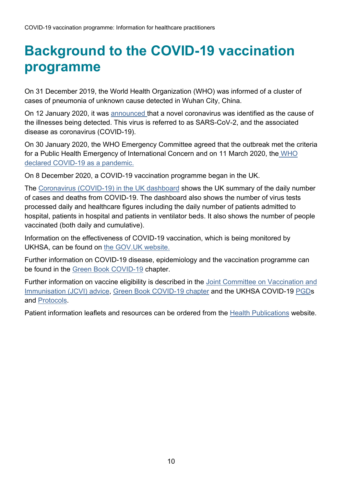# <span id="page-9-0"></span>**Background to the COVID-19 vaccination programme**

On 31 December 2019, the World Health Organization (WHO) was informed of a cluster of cases of pneumonia of unknown cause detected in Wuhan City, China.

On 12 January 2020, it was [announced](http://www.who.int/csr/don/12-january-2020-novel-coronavirus-china/en/) that a novel coronavirus was identified as the cause of the illnesses being detected. This virus is referred to as SARS-CoV-2, and the associated disease as coronavirus (COVID-19).

On 30 January 2020, the WHO Emergency Committee agreed that the outbreak met the criteria for a Public Health Emergency of International Concern and on 11 March 2020, the [WHO](https://www.who.int/director-general/speeches/detail/who-director-general-s-opening-remarks-at-the-media-briefing-on-covid-19---11-march-2020)  [declared COVID-19 as a pandemic.](https://www.who.int/director-general/speeches/detail/who-director-general-s-opening-remarks-at-the-media-briefing-on-covid-19---11-march-2020)

On 8 December 2020, a COVID-19 vaccination programme began in the UK.

The [Coronavirus \(COVID-19\) in the UK dashboard](https://coronavirus.data.gov.uk/?_ga=2.33942819.324027592.1603788998-1632845157.1577466264) shows the UK summary of the daily number of cases and deaths from COVID-19. The dashboard also shows the number of virus tests processed daily and healthcare figures including the daily number of patients admitted to hospital, patients in hospital and patients in ventilator beds. It also shows the number of people vaccinated (both daily and cumulative).

Information on the effectiveness of COVID-19 vaccination, which is being monitored by UKHSA, can be found on [the GOV.UK website.](http://www.gov.uk/government/publications/phe-monitoring-of-the-effectiveness-of-covid-19-vaccination)

Further information on COVID-19 disease, epidemiology and the vaccination programme can be found in the [Green Book COVID-19](http://www.gov.uk/government/collections/immunisation-against-infectious-disease-the-green-book) chapter.

Further information on vaccine eligibility is described in the [Joint Committee on Vaccination and](https://www.gov.uk/government/publications/priority-groups-for-coronavirus-covid-19-vaccination-advice-from-the-jcvi-30-december-2020/joint-committee-on-vaccination-and-immunisation-advice-on-priority-groups-for-covid-19-vaccination-30-december-2020#fn:2)  [Immunisation \(JCVI\)](https://www.gov.uk/government/publications/priority-groups-for-coronavirus-covid-19-vaccination-advice-from-the-jcvi-30-december-2020/joint-committee-on-vaccination-and-immunisation-advice-on-priority-groups-for-covid-19-vaccination-30-december-2020#fn:2) advice, [Green Book COVID-19 chapter](https://www.gov.uk/government/publications/covid-19-the-green-book-chapter-14a) and the UKHSA COVID-19 [PGDs](https://www.england.nhs.uk/coronavirus/covid-19-vaccination-programme/patient-group-direction/) and [Protocols.](https://www.gov.uk/government/collections/covid-19-vaccination-programme#protocols-and-patient-group-directions-(pgds))

Patient information leaflets and resources can be ordered from the [Health Publications](https://www.healthpublications.gov.uk/Home.html) website.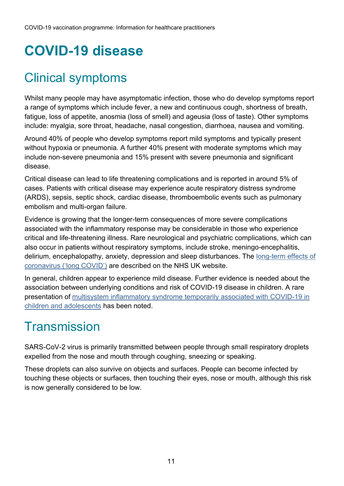# <span id="page-10-0"></span>**COVID-19 disease**

# <span id="page-10-1"></span>Clinical symptoms

Whilst many people may have asymptomatic infection, those who do develop symptoms report a range of symptoms which include fever, a new and continuous cough, shortness of breath, fatigue, loss of appetite, anosmia (loss of smell) and ageusia (loss of taste). Other symptoms include: myalgia, sore throat, headache, nasal congestion, diarrhoea, nausea and vomiting.

Around 40% of people who develop symptoms report mild symptoms and typically present without hypoxia or pneumonia. A further 40% present with moderate symptoms which may include non-severe pneumonia and 15% present with severe pneumonia and significant disease.

Critical disease can lead to life threatening complications and is reported in around 5% of cases. Patients with critical disease may experience acute respiratory distress syndrome (ARDS), sepsis, septic shock, cardiac disease, thromboembolic events such as pulmonary embolism and multi-organ failure.

Evidence is growing that the longer-term consequences of more severe complications associated with the inflammatory response may be considerable in those who experience critical and life-threatening illness. Rare neurological and psychiatric complications, which can also occur in patients without respiratory symptoms, include stroke, meningo-encephalitis, delirium, encephalopathy, anxiety, depression and sleep disturbances. The [long-term effects of](https://www.nhs.uk/conditions/coronavirus-covid-19/long-term-effects-of-coronavirus-long-covid/)  [coronavirus \('long COVID'\)](https://www.nhs.uk/conditions/coronavirus-covid-19/long-term-effects-of-coronavirus-long-covid/) are described on the NHS UK website.

In general, children appear to experience mild disease. Further evidence is needed about the association between underlying conditions and risk of COVID-19 disease in children. A rare presentation of [multisystem inflammatory syndrome temporarily associated with COVID-19 in](https://www.who.int/news-room/commentaries/detail/multisystem-inflammatory-syndrome-in-children-and-adolescents-with-covid-19)  [children and adolescents](https://www.who.int/news-room/commentaries/detail/multisystem-inflammatory-syndrome-in-children-and-adolescents-with-covid-19) has been noted.

#### <span id="page-10-2"></span>**Transmission**

SARS-CoV-2 virus is primarily transmitted between people through small respiratory droplets expelled from the nose and mouth through coughing, sneezing or speaking.

These droplets can also survive on objects and surfaces. People can become infected by touching these objects or surfaces, then touching their eyes, nose or mouth, although this risk is now generally considered to be low.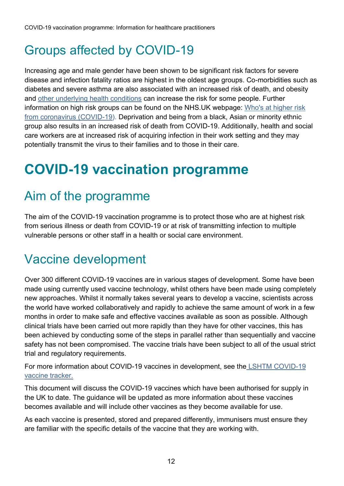# <span id="page-11-0"></span>Groups affected by COVID-19

Increasing age and male gender have been shown to be significant risk factors for severe disease and infection fatality ratios are highest in the oldest age groups. Co-morbidities such as diabetes and severe asthma are also associated with an increased risk of death, and obesity and [other underlying health conditions](https://doi.org/10.1038/s41586-020-2521-4) can increase the risk for some people. Further information on high risk groups can be found on the NHS.UK webpage: [Who's at higher risk](https://www.nhs.uk/conditions/coronavirus-covid-19/people-at-higher-risk/whos-at-higher-risk-from-coronavirus/)  [from coronavirus \(COVID-19\).](https://www.nhs.uk/conditions/coronavirus-covid-19/people-at-higher-risk/whos-at-higher-risk-from-coronavirus/) Deprivation and being from a black, Asian or minority ethnic group also results in an increased risk of death from COVID-19. Additionally, health and social care workers are at increased risk of acquiring infection in their work setting and they may potentially transmit the virus to their families and to those in their care.

# <span id="page-11-1"></span>**COVID-19 vaccination programme**

## <span id="page-11-2"></span>Aim of the programme

The aim of the COVID-19 vaccination programme is to protect those who are at highest risk from serious illness or death from COVID-19 or at risk of transmitting infection to multiple vulnerable persons or other staff in a health or social care environment.

## <span id="page-11-3"></span>Vaccine development

Over 300 different COVID-19 vaccines are in various stages of development. Some have been made using currently used vaccine technology, whilst others have been made using completely new approaches. Whilst it normally takes several years to develop a vaccine, scientists across the world have worked collaboratively and rapidly to achieve the same amount of work in a few months in order to make safe and effective vaccines available as soon as possible. Although clinical trials have been carried out more rapidly than they have for other vaccines, this has been achieved by conducting some of the steps in parallel rather than sequentially and vaccine safety has not been compromised. The vaccine trials have been subject to all of the usual strict trial and regulatory requirements.

For more information about COVID-19 vaccines in development, see the [LSHTM COVID-19](https://vac-lshtm.shinyapps.io/ncov_vaccine_landscape/)  [vaccine tracker.](https://vac-lshtm.shinyapps.io/ncov_vaccine_landscape/)

This document will discuss the COVID-19 vaccines which have been authorised for supply in the UK to date. The guidance will be updated as more information about these vaccines becomes available and will include other vaccines as they become available for use.

As each vaccine is presented, stored and prepared differently, immunisers must ensure they are familiar with the specific details of the vaccine that they are working with.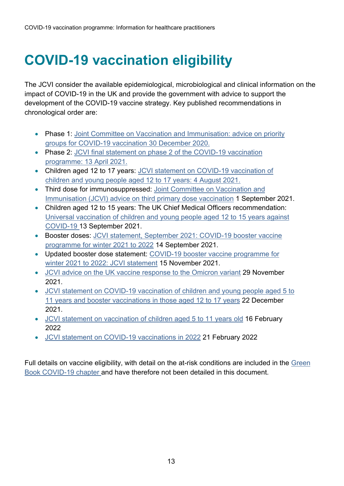# <span id="page-12-0"></span>**COVID-19 vaccination eligibility**

The JCVI consider the available epidemiological, microbiological and clinical information on the impact of COVID-19 in the UK and provide the government with advice to support the development of the COVID-19 vaccine strategy. Key published recommendations in chronological order are:

- Phase 1: [Joint Committee on Vaccination and Immunisation: advice on priority](https://www.gov.uk/government/publications/priority-groups-for-coronavirus-covid-19-vaccination-advice-from-the-jcvi-30-december-2020)  [groups for COVID-19 vaccination 30 December 2020.](https://www.gov.uk/government/publications/priority-groups-for-coronavirus-covid-19-vaccination-advice-from-the-jcvi-30-december-2020)
- Phase 2: JCVI final statement on phase 2 of the COVID-19 vaccination [programme: 13 April 2021.](https://www.gov.uk/government/publications/priority-groups-for-phase-2-of-the-coronavirus-covid-19-vaccination-programme-advice-from-the-jcvi/jcvi-final-statement-on-phase-2-of-the-covid-19-vaccination-programme-13-april-2021)
- Children aged 12 to 17 years: [JCVI statement on COVID-19 vaccination of](https://www.gov.uk/government/publications/jcvi-statement-august-2021-covid-19-vaccination-of-children-and-young-people-aged-12-to-17-years/jcvi-statement-on-covid-19-vaccination-of-children-and-young-people-aged-12-to-17-years-4-august-2021)  [children and young people aged 12 to 17 years: 4 August 2021.](https://www.gov.uk/government/publications/jcvi-statement-august-2021-covid-19-vaccination-of-children-and-young-people-aged-12-to-17-years/jcvi-statement-on-covid-19-vaccination-of-children-and-young-people-aged-12-to-17-years-4-august-2021)
- Third dose for immunosuppressed: [Joint Committee on Vaccination and](https://www.gov.uk/government/publications/third-primary-covid-19-vaccine-dose-for-people-who-are-immunosuppressed-jcvi-advice/joint-committee-on-vaccination-and-immunisation-jcvi-advice-on-third-primary-dose-vaccination)  [Immunisation \(JCVI\) advice on third primary dose vaccination](https://www.gov.uk/government/publications/third-primary-covid-19-vaccine-dose-for-people-who-are-immunosuppressed-jcvi-advice/joint-committee-on-vaccination-and-immunisation-jcvi-advice-on-third-primary-dose-vaccination) 1 September 2021.
- Children aged 12 to 15 years: The UK Chief Medical Officers recommendation: [Universal vaccination of children and young people aged 12 to 15 years against](https://www.gov.uk/government/publications/universal-vaccination-of-children-and-young-people-aged-12-to-15-years-against-covid-19/universal-vaccination-of-children-and-young-people-aged-12-to-15-years-against-covid-19)  [COVID-19](https://www.gov.uk/government/publications/universal-vaccination-of-children-and-young-people-aged-12-to-15-years-against-covid-19/universal-vaccination-of-children-and-young-people-aged-12-to-15-years-against-covid-19) 13 September 2021.
- Booster doses: [JCVI statement, September 2021: COVID-19 booster vaccine](https://www.gov.uk/government/publications/jcvi-statement-september-2021-covid-19-booster-vaccine-programme-for-winter-2021-to-2022)  [programme for winter 2021 to 2022](https://www.gov.uk/government/publications/jcvi-statement-september-2021-covid-19-booster-vaccine-programme-for-winter-2021-to-2022) 14 September 2021.
- Updated booster dose statement: [COVID-19 booster vaccine programme for](https://www.gov.uk/government/publications/covid-19-booster-vaccine-programme-for-winter-2021-to-2022-jcvi-statement-november-2021)  [winter 2021 to 2022: JCVI statement](https://www.gov.uk/government/publications/covid-19-booster-vaccine-programme-for-winter-2021-to-2022-jcvi-statement-november-2021) 15 November 2021.
- [JCVI advice on the UK vaccine response to the Omicron variant](https://www.gov.uk/government/publications/uk-vaccine-response-to-the-omicron-variant-jcvi-advice/jcvi-advice-on-the-uk-vaccine-response-to-the-omicron-variant) 29 November 2021.
- JCVI statement [on COVID-19 vaccination of children and young people aged 5 to](https://www.gov.uk/government/publications/jcvi-update-on-advice-for-covid-19-vaccination-of-children-and-young-people)  [11 years and booster vaccinations in those aged 12 to 17 years](https://www.gov.uk/government/publications/jcvi-update-on-advice-for-covid-19-vaccination-of-children-and-young-people) 22 December 2021.
- [JCVI statement on vaccination of children aged 5 to 11 years](https://www.gov.uk/government/publications/jcvi-update-on-advice-for-covid-19-vaccination-of-children-aged-5-to-11/jcvi-statement-on-vaccination-of-children-aged-5-to-11-years-old) old 16 February 2022
- [JCVI statement on COVID-19 vaccinations in 2022](https://www.gov.uk/government/publications/joint-committee-on-vaccination-and-immunisation-statement-on-covid-19-vaccinations-in-2022/joint-committee-on-vaccination-and-immunisation-jcvi-statement-on-covid-19-vaccinations-in-2022-21-february-2022) 21 February 2022

Full details on vaccine eligibility, with detail on the at-risk conditions are included in the [Green](https://www.gov.uk/government/publications/covid-19-the-green-book-chapter-14a)  [Book COVID-19 chapter](https://www.gov.uk/government/publications/covid-19-the-green-book-chapter-14a) and have therefore not been detailed in this document.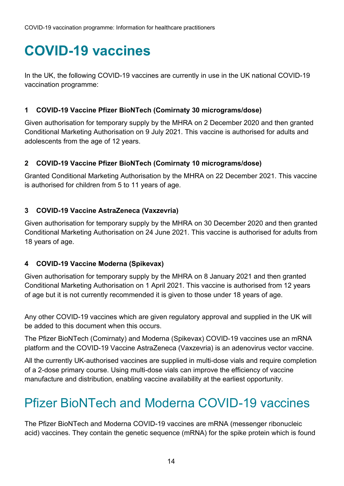# <span id="page-13-0"></span>**COVID-19 vaccines**

In the UK, the following COVID-19 vaccines are currently in use in the UK national COVID-19 vaccination programme:

#### **1 COVID-19 Vaccine Pfizer BioNTech (Comirnaty 30 micrograms/dose)**

Given authorisation for temporary supply by the MHRA on 2 December 2020 and then granted Conditional Marketing Authorisation on 9 July 2021. This vaccine is authorised for adults and adolescents from the age of 12 years.

#### **2 COVID-19 Vaccine Pfizer BioNTech (Comirnaty 10 micrograms/dose)**

Granted Conditional Marketing Authorisation by the MHRA on 22 December 2021. This vaccine is authorised for children from 5 to 11 years of age.

#### **3 COVID-19 Vaccine AstraZeneca (Vaxzevria)**

Given authorisation for temporary supply by the MHRA on 30 December 2020 and then granted Conditional Marketing Authorisation on 24 June 2021. This vaccine is authorised for adults from 18 years of age.

#### **4 COVID-19 Vaccine Moderna (Spikevax)**

Given authorisation for temporary supply by the MHRA on 8 January 2021 and then granted Conditional Marketing Authorisation on 1 April 2021. This vaccine is authorised from 12 years of age but it is not currently recommended it is given to those under 18 years of age.

Any other COVID-19 vaccines which are given regulatory approval and supplied in the UK will be added to this document when this occurs.

The Pfizer BioNTech (Comirnaty) and Moderna (Spikevax) COVID-19 vaccines use an mRNA platform and the COVID-19 Vaccine AstraZeneca (Vaxzevria) is an adenovirus vector vaccine.

All the currently UK-authorised vaccines are supplied in multi-dose vials and require completion of a 2-dose primary course. Using multi-dose vials can improve the efficiency of vaccine manufacture and distribution, enabling vaccine availability at the earliest opportunity.

# <span id="page-13-1"></span>Pfizer BioNTech and Moderna COVID-19 vaccines

The Pfizer BioNTech and Moderna COVID-19 vaccines are mRNA (messenger ribonucleic acid) vaccines. They contain the genetic sequence (mRNA) for the spike protein which is found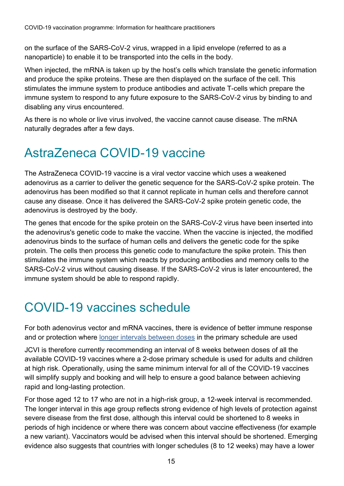on the surface of the SARS-CoV-2 virus, wrapped in a lipid envelope (referred to as a nanoparticle) to enable it to be transported into the cells in the body.

When injected, the mRNA is taken up by the host's cells which translate the genetic information and produce the spike proteins. These are then displayed on the surface of the cell. This stimulates the immune system to produce antibodies and activate T-cells which prepare the immune system to respond to any future exposure to the SARS-CoV-2 virus by binding to and disabling any virus encountered.

As there is no whole or live virus involved, the vaccine cannot cause disease. The mRNA naturally degrades after a few days.

## <span id="page-14-0"></span>AstraZeneca COVID-19 vaccine

The AstraZeneca COVID-19 vaccine is a viral vector vaccine which uses a weakened adenovirus as a carrier to deliver the genetic sequence for the SARS-CoV-2 spike protein. The adenovirus has been modified so that it cannot replicate in human cells and therefore cannot cause any disease. Once it has delivered the SARS-CoV-2 spike protein genetic code, the adenovirus is destroyed by the body.

The genes that encode for the spike protein on the SARS-CoV-2 virus have been inserted into the adenovirus's genetic code to make the vaccine. When the vaccine is injected, the modified adenovirus binds to the surface of human cells and delivers the genetic code for the spike protein. The cells then process this genetic code to manufacture the spike protein. This then stimulates the immune system which reacts by producing antibodies and memory cells to the SARS-CoV-2 virus without causing disease. If the SARS-CoV-2 virus is later encountered, the immune system should be able to respond rapidly.

# <span id="page-14-1"></span>COVID-19 vaccines schedule

For both adenovirus vector and mRNA vaccines, there is evidence of better immune response and or protection where [longer intervals between doses](https://www.medrxiv.org/content/10.1101/2021.07.26.21261140v1) in the primary schedule are used

JCVI is therefore currently recommending an interval of 8 weeks between doses of all the available COVID-19 vaccines where a 2-dose primary schedule is used for adults and children at high risk. Operationally, using the same minimum interval for all of the COVID-19 vaccines will simplify supply and booking and will help to ensure a good balance between achieving rapid and long-lasting protection.

For those aged 12 to 17 who are not in a high-risk group, a 12-week interval is recommended. The longer interval in this age group reflects strong evidence of high levels of protection against severe disease from the first dose, although this interval could be shortened to 8 weeks in periods of high incidence or where there was concern about vaccine effectiveness (for example a new variant). Vaccinators would be advised when this interval should be shortened. Emerging evidence also suggests that countries with longer schedules (8 to 12 weeks) may have a lower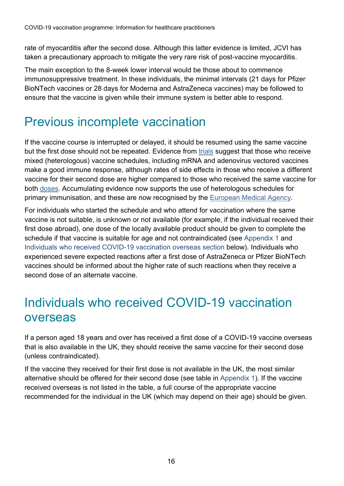rate of myocarditis after the second dose. Although this latter evidence is limited, JCVI has taken a precautionary approach to mitigate the very rare risk of post-vaccine myocarditis.

The main exception to the 8-week lower interval would be those about to commence immunosuppressive treatment. In these individuals, the minimal intervals (21 days for Pfizer BioNTech vaccines or 28 days for Moderna and AstraZeneca vaccines) may be followed to ensure that the vaccine is given while their immune system is better able to respond.

## <span id="page-15-0"></span>Previous incomplete vaccination

If the vaccine course is interrupted or delayed, it should be resumed using the same vaccine but the first dose should not be repeated. Evidence from [trials](https://papers.ssrn.com/sol3/papers.cfm?abstract_id=3874014) suggest that those who receive mixed (heterologous) vaccine schedules, including mRNA and adenovirus vectored vaccines make a good immune response, although rates of side effects in those who receive a different vaccine for their second dose are higher compared to those who received the same vaccine for both [doses](https://www.thelancet.com/journals/lancet/article/PIIS0140-6736(21)01115-6/fulltext). Accumulating evidence now supports the use of heterologous schedules for primary immunisation, and these are now recognised by the [European Medical Agency.](https://www.ema.europa.eu/en/news/ema-ecdc-recommendations-heterologous-vaccination-courses-against-covid-19-mix-match-approach-can-be)

For individuals who started the schedule and who attend for vaccination where the same vaccine is not suitable, is unknown or not available (for example, if the individual received their first dose abroad), one dose of the locally available product should be given to complete the schedule if that vaccine is suitable for age and not contraindicated (see [Appendix 1](#page-49-0) and Individuals who received COVID-19 vaccination overseas section below). Individuals who experienced severe expected reactions after a first dose of AstraZeneca or Pfizer BioNTech vaccines should be informed about the higher rate of such reactions when they receive a second dose of an alternate vaccine.

### <span id="page-15-1"></span>Individuals who received COVID-19 vaccination overseas

If a person aged 18 years and over has received a first dose of a COVID-19 vaccine overseas that is also available in the UK, they should receive the same vaccine for their second dose (unless contraindicated).

If the vaccine they received for their first dose is not available in the UK, the most similar alternative should be offered for their second dose (see table in [Appendix 1\)](#page-49-0). If the vaccine received overseas is not listed in the table, a full course of the appropriate vaccine recommended for the individual in the UK (which may depend on their age) should be given.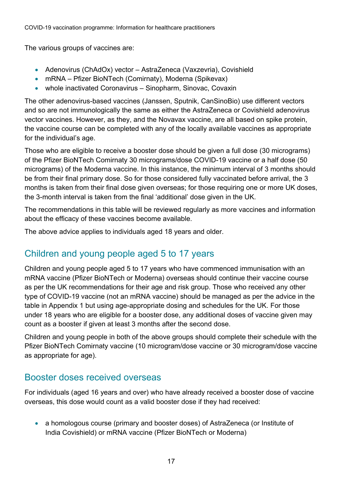The various groups of vaccines are:

- Adenovirus (ChAdOx) vector AstraZeneca (Vaxzevria), Covishield
- mRNA Pfizer BioNTech (Comirnaty), Moderna (Spikevax)
- whole inactivated Coronavirus Sinopharm, Sinovac, Covaxin

The other adenovirus-based vaccines (Janssen, Sputnik, CanSinoBio) use different vectors and so are not immunologically the same as either the AstraZeneca or Covishield adenovirus vector vaccines. However, as they, and the Novavax vaccine, are all based on spike protein, the vaccine course can be completed with any of the locally available vaccines as appropriate for the individual's age.

Those who are eligible to receive a booster dose should be given a full dose (30 micrograms) of the Pfizer BioNTech Comirnaty 30 micrograms/dose COVID-19 vaccine or a half dose (50 micrograms) of the Moderna vaccine. In this instance, the minimum interval of 3 months should be from their final primary dose. So for those considered fully vaccinated before arrival, the 3 months is taken from their final dose given overseas; for those requiring one or more UK doses, the 3-month interval is taken from the final 'additional' dose given in the UK.

The recommendations in this table will be reviewed regularly as more vaccines and information about the efficacy of these vaccines become available.

The above advice applies to individuals aged 18 years and older.

#### Children and young people aged 5 to 17 years

Children and young people aged 5 to 17 years who have commenced immunisation with an mRNA vaccine (Pfizer BioNTech or Moderna) overseas should continue their vaccine course as per the UK recommendations for their age and risk group. Those who received any other type of COVID-19 vaccine (not an mRNA vaccine) should be managed as per the advice in the table in Appendix 1 but using age-appropriate dosing and schedules for the UK. For those under 18 years who are eligible for a booster dose, any additional doses of vaccine given may count as a booster if given at least 3 months after the second dose.

Children and young people in both of the above groups should complete their schedule with the Pfizer BioNTech Comirnaty vaccine (10 microgram/dose vaccine or 30 microgram/dose vaccine as appropriate for age).

#### Booster doses received overseas

For individuals (aged 16 years and over) who have already received a booster dose of vaccine overseas, this dose would count as a valid booster dose if they had received:

• a homologous course (primary and booster doses) of AstraZeneca (or Institute of India Covishield) or mRNA vaccine (Pfizer BioNTech or Moderna)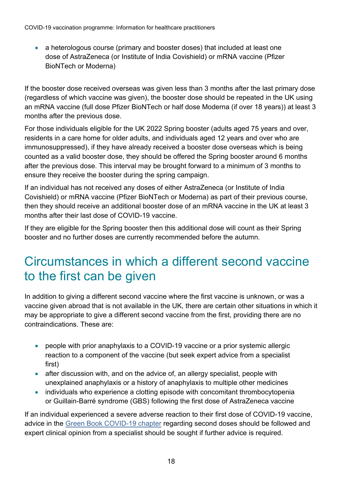• a heterologous course (primary and booster doses) that included at least one dose of AstraZeneca (or Institute of India Covishield) or mRNA vaccine (Pfizer BioNTech or Moderna)

If the booster dose received overseas was given less than 3 months after the last primary dose (regardless of which vaccine was given), the booster dose should be repeated in the UK using an mRNA vaccine (full dose Pfizer BioNTech or half dose Moderna (if over 18 years)) at least 3 months after the previous dose.

For those individuals eligible for the UK 2022 Spring booster (adults aged 75 years and over, residents in a care home for older adults, and individuals aged 12 years and over who are immunosuppressed), if they have already received a booster dose overseas which is being counted as a valid booster dose, they should be offered the Spring booster around 6 months after the previous dose. This interval may be brought forward to a minimum of 3 months to ensure they receive the booster during the spring campaign.

If an individual has not received any doses of either AstraZeneca (or Institute of India Covishield) or mRNA vaccine (Pfizer BioNTech or Moderna) as part of their previous course, then they should receive an additional booster dose of an mRNA vaccine in the UK at least 3 months after their last dose of COVID-19 vaccine.

If they are eligible for the Spring booster then this additional dose will count as their Spring booster and no further doses are currently recommended before the autumn.

### <span id="page-17-0"></span>Circumstances in which a different second vaccine to the first can be given

In addition to giving a different second vaccine where the first vaccine is unknown, or was a vaccine given abroad that is not available in the UK, there are certain other situations in which it may be appropriate to give a different second vaccine from the first, providing there are no contraindications. These are:

- people with prior anaphylaxis to a COVID-19 vaccine or a prior systemic allergic reaction to a component of the vaccine (but seek expert advice from a specialist first)
- after discussion with, and on the advice of, an allergy specialist, people with unexplained anaphylaxis or a history of anaphylaxis to multiple other medicines
- individuals who experience a clotting episode with concomitant thrombocytopenia or Guillain-Barré syndrome (GBS) following the first dose of AstraZeneca vaccine

If an individual experienced a severe adverse reaction to their first dose of COVID-19 vaccine, advice in the [Green Book COVID-19 chapter](https://assets.publishing.service.gov.uk/government/uploads/system/uploads/attachment_data/file/984310/Greenbook_chapter_14a_7May2021.pdf) regarding second doses should be followed and expert clinical opinion from a specialist should be sought if further advice is required.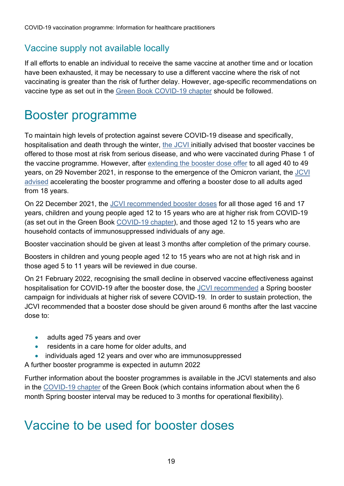#### Vaccine supply not available locally

If all efforts to enable an individual to receive the same vaccine at another time and or location have been exhausted, it may be necessary to use a different vaccine where the risk of not vaccinating is greater than the risk of further delay. However, age-specific recommendations on vaccine type as set out in the [Green Book COVID-19 chapter](https://assets.publishing.service.gov.uk/government/uploads/system/uploads/attachment_data/file/1018444/Greenbook_chapter_14a_16Sept21.pdf) should be followed.

#### <span id="page-18-0"></span>Booster programme

To maintain high levels of protection against severe COVID-19 disease and specifically, hospitalisation and death through the winter, the [JCVI](https://www.gov.uk/government/publications/jcvi-statement-september-2021-covid-19-booster-vaccine-programme-for-winter-2021-to-2022) initially advised that booster vaccines be offered to those most at risk from serious disease, and who were vaccinated during Phase 1 of the vaccine programme. However, after [extending the booster dose offer](https://www.gov.uk/government/publications/covid-19-booster-vaccine-programme-for-winter-2021-to-2022-jcvi-statement-november-2021) to all aged 40 to 49 years, on 29 November 2021, in response to the emergence of the Omicron variant, the [JCVI](https://www.gov.uk/government/publications/uk-vaccine-response-to-the-omicron-variant-jcvi-advice/jcvi-advice-on-the-uk-vaccine-response-to-the-omicron-variant)  [advised](https://www.gov.uk/government/publications/uk-vaccine-response-to-the-omicron-variant-jcvi-advice/jcvi-advice-on-the-uk-vaccine-response-to-the-omicron-variant) accelerating the booster programme and offering a booster dose to all adults aged from 18 years.

On 22 December 2021, the [JCVI recommended booster doses](https://www.gov.uk/government/publications/jcvi-update-on-advice-for-covid-19-vaccination-of-children-and-young-people) for all those aged 16 and 17 years, children and young people aged 12 to 15 years who are at higher risk from COVID-19 (as set out in the Green Book [COVID-19 chapter\)](https://www.gov.uk/government/publications/covid-19-the-green-book-chapter-14a), and those aged 12 to 15 years who are household contacts of immunosuppressed individuals of any age.

Booster vaccination should be given at least 3 months after completion of the primary course.

Boosters in children and young people aged 12 to 15 years who are not at high risk and in those aged 5 to 11 years will be reviewed in due course.

On 21 February 2022, recognising the small decline in observed vaccine effectiveness against hospitalisation for COVID-19 after the booster dose, the [JCVI recommended](https://www.gov.uk/government/publications/joint-committee-on-vaccination-and-immunisation-statement-on-covid-19-vaccinations-in-2022/joint-committee-on-vaccination-and-immunisation-jcvi-statement-on-covid-19-vaccinations-in-2022-21-february-2022) a Spring booster campaign for individuals at higher risk of severe COVID-19. In order to sustain protection, the JCVI recommended that a booster dose should be given around 6 months after the last vaccine dose to:

- adults aged 75 years and over
- residents in a care home for older adults, and
- individuals aged 12 years and over who are immunosuppressed

A further booster programme is expected in autumn 2022

Further information about the booster programmes is available in the JCVI statements and also in the [COVID-19 chapter](https://www.gov.uk/government/publications/covid-19-the-green-book-chapter-14a) of the Green Book (which contains information about when the 6 month Spring booster interval may be reduced to 3 months for operational flexibility).

#### <span id="page-18-1"></span>Vaccine to be used for booster doses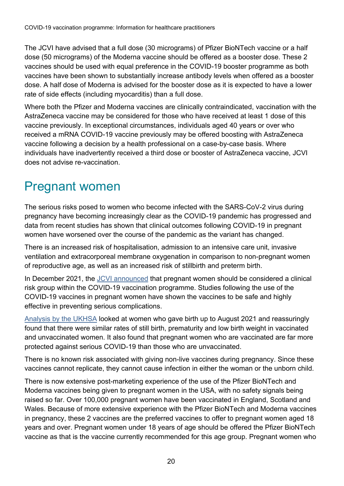The JCVI have advised that a full dose (30 micrograms) of Pfizer BioNTech vaccine or a half dose (50 micrograms) of the Moderna vaccine should be offered as a booster dose. These 2 vaccines should be used with equal preference in the COVID-19 booster programme as both vaccines have been shown to substantially increase antibody levels when offered as a booster dose. A half dose of Moderna is advised for the booster dose as it is expected to have a lower rate of side effects (including myocarditis) than a full dose.

Where both the Pfizer and Moderna vaccines are clinically contraindicated, vaccination with the AstraZeneca vaccine may be considered for those who have received at least 1 dose of this vaccine previously. In exceptional circumstances, individuals aged 40 years or over who received a mRNA COVID-19 vaccine previously may be offered boosting with AstraZeneca vaccine following a decision by a health professional on a case-by-case basis. Where individuals have inadvertently received a third dose or booster of AstraZeneca vaccine, JCVI does not advise re-vaccination.

### <span id="page-19-0"></span>Pregnant women

The serious risks posed to women who become infected with the SARS-CoV-2 virus during pregnancy have becoming increasingly clear as the COVID-19 pandemic has progressed and data from recent studies has shown that clinical outcomes following COVID-19 in pregnant women have worsened over the course of the pandemic as the variant has changed.

There is an increased risk of hospitalisation, admission to an intensive care unit, invasive ventilation and extracorporeal membrane oxygenation in comparison to non-pregnant women of reproductive age, as well as an increased risk of stillbirth and preterm birth.

In December 2021, the [JCVI announced](about:blank) that pregnant women should be considered a clinical risk group within the COVID-19 vaccination programme. Studies following the use of the COVID-19 vaccines in pregnant women have shown the vaccines to be safe and highly effective in preventing serious complications.

[Analysis by the](https://www.gov.uk/government/news/new-ukhsa-study-provides-more-safety-data-on-covid-19-vaccines-in-pregnancy) UKHSA looked at women who gave birth up to August 2021 and reassuringly found that there were similar rates of still birth, prematurity and low birth weight in vaccinated and unvaccinated women. It also found that pregnant women who are vaccinated are far more protected against serious COVID-19 than those who are unvaccinated.

There is no known risk associated with giving non-live vaccines during pregnancy. Since these vaccines cannot replicate, they cannot cause infection in either the woman or the unborn child.

There is now extensive post-marketing experience of the use of the Pfizer BioNTech and Moderna vaccines being given to pregnant women in the USA, with no safety signals being raised so far. Over 100,000 pregnant women have been vaccinated in England, Scotland and Wales. Because of more extensive experience with the Pfizer BioNTech and Moderna vaccines in pregnancy, these 2 vaccines are the preferred vaccines to offer to pregnant women aged 18 years and over. Pregnant women under 18 years of age should be offered the Pfizer BioNTech vaccine as that is the vaccine currently recommended for this age group. Pregnant women who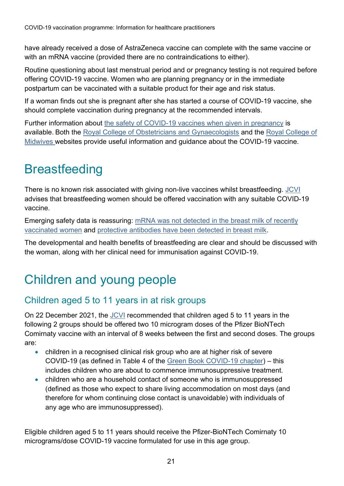have already received a dose of AstraZeneca vaccine can complete with the same vaccine or with an mRNA vaccine (provided there are no contraindications to either).

Routine questioning about last menstrual period and or pregnancy testing is not required before offering COVID-19 vaccine. Women who are planning pregnancy or in the immediate postpartum can be vaccinated with a suitable product for their age and risk status.

If a woman finds out she is pregnant after she has started a course of COVID-19 vaccine, she should complete vaccination during pregnancy at the recommended intervals.

Further information about [the safety of COVID-19 vaccines when given in pregnancy](https://www.gov.uk/government/publications/safety-of-covid-19-vaccines-when-given-in-pregnancy/the-safety-of-covid-19-vaccines-when-given-in-pregnancy) is available. Both the [Royal College of Obstetricians and Gynaecologists](https://www.rcog.org.uk/en/guidelines-research-services/coronavirus-covid-19-pregnancy-and-womens-health/covid-19-vaccines-and-pregnancy/covid-19-vaccines-pregnancy-and-breastfeeding/) and the [Royal College of](http://www.rcm.org.uk/guidance-for-maternity-staff/)  [Midwives w](http://www.rcm.org.uk/guidance-for-maternity-staff/)ebsites provide useful information and guidance about the COVID-19 vaccine.

## <span id="page-20-0"></span>**Breastfeeding**

There is no known risk associated with giving non-live vaccines whilst breastfeeding. [JCVI](https://www.gov.uk/government/publications/priority-groups-for-coronavirus-covid-19-vaccination-advice-from-the-jcvi-30-december-2020/joint-committee-on-vaccination-and-immunisation-advice-on-priority-groups-for-covid-19-vaccination-30-december-2020) advises that breastfeeding women should be offered vaccination with any suitable COVID-19 vaccine.

Emerging safety data is reassuring: [mRNA was not detected in the breast milk of recently](https://www.medrxiv.org/content/10.1101/2021.03.05.21252998v1.full.pdf)  [vaccinated women](https://www.medrxiv.org/content/10.1101/2021.03.05.21252998v1.full.pdf) and [protective antibodies have been detected in breast milk.](https://www.sciencedirect.com/science/article/pii/S0002937821001873?via%3Dihub.)

The developmental and health benefits of breastfeeding are clear and should be discussed with the woman, along with her clinical need for immunisation against COVID-19.

# <span id="page-20-1"></span>Children and young people

#### Children aged 5 to 11 years in at risk groups

On 22 December 2021, the [JCVI](https://www.gov.uk/government/publications/jcvi-update-on-advice-for-covid-19-vaccination-of-children-and-young-people/jcvi-statement-on-covid-19-vaccination-of-children-and-young-people-22-december-2021) recommended that children aged 5 to 11 years in the following 2 groups should be offered two 10 microgram doses of the Pfizer BioNTech Comirnaty vaccine with an interval of 8 weeks between the first and second doses. The groups are:

- children in a recognised clinical risk group who are at higher risk of severe COVID-19 (as defined in Table 4 of the [Green Book COVID-19 chapter\)](https://www.gov.uk/government/publications/covid-19-the-green-book-chapter-14a)) – this includes children who are about to commence immunosuppressive treatment.
- children who are a household contact of someone who is immunosuppressed (defined as those who expect to share living accommodation on most days (and therefore for whom continuing close contact is unavoidable) with individuals of any age who are immunosuppressed).

Eligible children aged 5 to 11 years should receive the Pfizer-BioNTech Comirnaty 10 micrograms/dose COVID-19 vaccine formulated for use in this age group.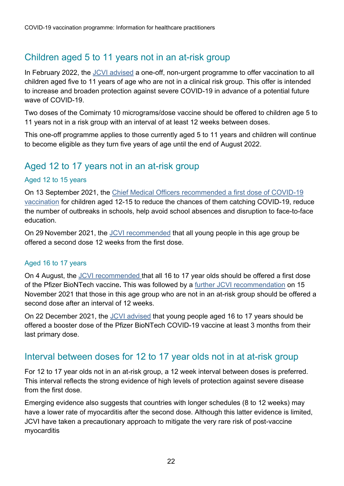#### Children aged 5 to 11 years not in an at-risk group

In February 2022, the [JCVI advised](http://www.gov.uk/government/publications/jcvi-update-on-advice-for-covid-19-vaccination-of-children-aged-5-to-11/jcvi-statement-on-vaccination-of-children-aged-5-to-11-years-old) a one-off, non-urgent programme to offer vaccination to all children aged five to 11 years of age who are not in a clinical risk group. This offer is intended to increase and broaden protection against severe COVID-19 in advance of a potential future wave of COVID-19.

Two doses of the Comirnaty 10 micrograms/dose vaccine should be offered to children age 5 to 11 years not in a risk group with an interval of at least 12 weeks between doses.

This one-off programme applies to those currently aged 5 to 11 years and children will continue to become eligible as they turn five years of age until the end of August 2022.

#### Aged 12 to 17 years not in an at-risk group

#### Aged 12 to 15 years

On 13 September 2021, the [Chief Medical Officers recommended a first dose of COVID-19](https://www.gov.uk/government/publications/universal-vaccination-of-children-and-young-people-aged-12-to-15-years-against-covid-19/universal-vaccination-of-children-and-young-people-aged-12-to-15-years-against-covid-19)  [vaccination](https://www.gov.uk/government/publications/universal-vaccination-of-children-and-young-people-aged-12-to-15-years-against-covid-19/universal-vaccination-of-children-and-young-people-aged-12-to-15-years-against-covid-19) for children aged 12-15 to reduce the chances of them catching COVID-19, reduce the number of outbreaks in schools, help avoid school absences and disruption to face-to-face education.

On 29 November 2021, the [JCVI recommended](https://www.gov.uk/government/publications/uk-vaccine-response-to-the-omicron-variant-jcvi-advice) that all young people in this age group be offered a second dose 12 weeks from the first dose.

#### Aged 16 to 17 years

On 4 August, the [JCVI recommended](https://www.gov.uk/government/publications/jcvi-statement-august-2021-covid-19-vaccination-of-children-and-young-people-aged-12-to-17-years/jcvi-statement-on-covid-19-vaccination-of-children-and-young-people-aged-12-to-17-years-4-august-2021) that all 16 to 17 year olds should be offered a first dose of the Pfizer BioNTech vaccine**.** This was followed by a [further JCVI recommendation](https://www.gov.uk/government/publications/covid-19-vaccination-in-children-and-young-people-aged-16-to-17-years-jcvi-statement-november-2021) on 15 November 2021 that those in this age group who are not in an at-risk group should be offered a second dose after an interval of 12 weeks.

On 22 December 2021, the [JCVI advised](https://www.gov.uk/government/publications/jcvi-update-on-advice-for-covid-19-vaccination-of-children-and-young-people) that young people aged 16 to 17 years should be offered a booster dose of the Pfizer BioNTech COVID-19 vaccine at least 3 months from their last primary dose.

#### Interval between doses for 12 to 17 year olds not in at at-risk group

For 12 to 17 year olds not in an at-risk group, a 12 week interval between doses is preferred. This interval reflects the strong evidence of high levels of protection against severe disease from the first dose.

Emerging evidence also suggests that countries with longer schedules (8 to 12 weeks) may have a lower rate of myocarditis after the second dose. Although this latter evidence is limited, JCVI have taken a precautionary approach to mitigate the very rare risk of post-vaccine myocarditis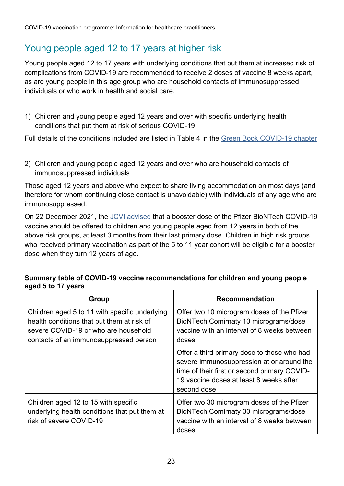#### Young people aged 12 to 17 years at higher risk

Young people aged 12 to 17 years with underlying conditions that put them at increased risk of complications from COVID-19 are recommended to receive 2 doses of vaccine 8 weeks apart, as are young people in this age group who are household contacts of immunosuppressed individuals or who work in health and social care.

1) Children and young people aged 12 years and over with specific underlying health conditions that put them at risk of serious COVID-19

Full details of the conditions included are listed in Table 4 in the [Green Book COVID-19 chapter](https://www.gov.uk/government/publications/covid-19-the-green-book-chapter-14a)

2) Children and young people aged 12 years and over who are household contacts of immunosuppressed individuals

Those aged 12 years and above who expect to share living accommodation on most days (and therefore for whom continuing close contact is unavoidable) with individuals of any age who are immunosuppressed.

On 22 December 2021, the [JCVI advised](https://www.gov.uk/government/publications/jcvi-update-on-advice-for-covid-19-vaccination-of-children-and-young-people) that a booster dose of the Pfizer BioNTech COVID-19 vaccine should be offered to children and young people aged from 12 years in both of the above risk groups, at least 3 months from their last primary dose. Children in high risk groups who received primary vaccination as part of the 5 to 11 year cohort will be eligible for a booster dose when they turn 12 years of age.

| Group                                                                                                                                                                          | <b>Recommendation</b>                                                                                                                                                                              |
|--------------------------------------------------------------------------------------------------------------------------------------------------------------------------------|----------------------------------------------------------------------------------------------------------------------------------------------------------------------------------------------------|
| Children aged 5 to 11 with specific underlying<br>health conditions that put them at risk of<br>severe COVID-19 or who are household<br>contacts of an immunosuppressed person | Offer two 10 microgram doses of the Pfizer<br>BioNTech Comirnaty 10 micrograms/dose<br>vaccine with an interval of 8 weeks between<br>doses                                                        |
|                                                                                                                                                                                | Offer a third primary dose to those who had<br>severe immunosuppression at or around the<br>time of their first or second primary COVID-<br>19 vaccine doses at least 8 weeks after<br>second dose |
| Children aged 12 to 15 with specific<br>underlying health conditions that put them at<br>risk of severe COVID-19                                                               | Offer two 30 microgram doses of the Pfizer<br>BioNTech Comirnaty 30 micrograms/dose<br>vaccine with an interval of 8 weeks between<br>doses                                                        |

#### **Summary table of COVID-19 vaccine recommendations for children and young people aged 5 to 17 years**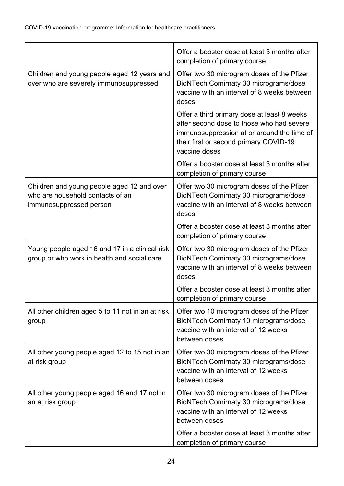|                                                                                                           | Offer a booster dose at least 3 months after<br>completion of primary course                                                                                                                      |
|-----------------------------------------------------------------------------------------------------------|---------------------------------------------------------------------------------------------------------------------------------------------------------------------------------------------------|
| Children and young people aged 12 years and<br>over who are severely immunosuppressed                     | Offer two 30 microgram doses of the Pfizer<br>BioNTech Comirnaty 30 micrograms/dose<br>vaccine with an interval of 8 weeks between<br>doses                                                       |
|                                                                                                           | Offer a third primary dose at least 8 weeks<br>after second dose to those who had severe<br>immunosuppression at or around the time of<br>their first or second primary COVID-19<br>vaccine doses |
|                                                                                                           | Offer a booster dose at least 3 months after<br>completion of primary course                                                                                                                      |
| Children and young people aged 12 and over<br>who are household contacts of an<br>immunosuppressed person | Offer two 30 microgram doses of the Pfizer<br>BioNTech Comirnaty 30 micrograms/dose<br>vaccine with an interval of 8 weeks between<br>doses                                                       |
|                                                                                                           | Offer a booster dose at least 3 months after<br>completion of primary course                                                                                                                      |
| Young people aged 16 and 17 in a clinical risk<br>group or who work in health and social care             | Offer two 30 microgram doses of the Pfizer<br>BioNTech Comirnaty 30 micrograms/dose<br>vaccine with an interval of 8 weeks between<br>doses                                                       |
|                                                                                                           | Offer a booster dose at least 3 months after<br>completion of primary course                                                                                                                      |
| All other children aged 5 to 11 not in an at risk<br>group                                                | Offer two 10 microgram doses of the Pfizer<br>BioNTech Comirnaty 10 micrograms/dose<br>vaccine with an interval of 12 weeks<br>between doses                                                      |
| All other young people aged 12 to 15 not in an<br>at risk group                                           | Offer two 30 microgram doses of the Pfizer<br>BioNTech Comirnaty 30 micrograms/dose<br>vaccine with an interval of 12 weeks<br>between doses                                                      |
| All other young people aged 16 and 17 not in<br>an at risk group                                          | Offer two 30 microgram doses of the Pfizer<br>BioNTech Comirnaty 30 micrograms/dose<br>vaccine with an interval of 12 weeks<br>between doses                                                      |
|                                                                                                           | Offer a booster dose at least 3 months after<br>completion of primary course                                                                                                                      |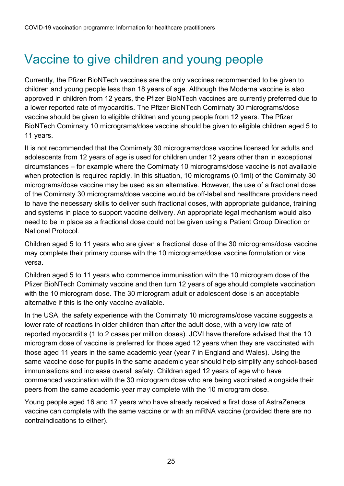# <span id="page-24-0"></span>Vaccine to give children and young people

Currently, the Pfizer BioNTech vaccines are the only vaccines recommended to be given to children and young people less than 18 years of age. Although the Moderna vaccine is also approved in children from 12 years, the Pfizer BioNTech vaccines are currently preferred due to a [lower reported rate of myocarditis.](https://www.gov.uk/government/publications/coronavirus-covid-19-vaccine-adverse-reactions/coronavirus-vaccine-summary-of-yellow-card-reporting) The Pfizer BioNTech Comirnaty 30 micrograms/dose vaccine should be given to eligible children and young people from 12 years. The Pfizer BioNTech Comirnaty 10 micrograms/dose vaccine should be given to eligible children aged 5 to 11 years.

It is not recommended that the Comirnaty 30 micrograms/dose vaccine licensed for adults and adolescents from 12 years of age is used for children under 12 years other than in exceptional circumstances – for example where the Comirnaty 10 micrograms/dose vaccine is not available when protection is required rapidly. In this situation, 10 micrograms (0.1ml) of the Comirnaty 30 micrograms/dose vaccine may be used as an alternative. However, the use of a fractional dose of the Comirnaty 30 micrograms/dose vaccine would be off-label and healthcare providers need to have the necessary skills to deliver such fractional doses, with appropriate guidance, training and systems in place to support vaccine delivery. An appropriate legal mechanism would also need to be in place as a fractional dose could not be given using a Patient Group Direction or National Protocol.

Children aged 5 to 11 years who are given a fractional dose of the 30 micrograms/dose vaccine may complete their primary course with the 10 micrograms/dose vaccine formulation or vice versa.

Children aged 5 to 11 years who commence immunisation with the 10 microgram dose of the Pfizer BioNTech Comirnaty vaccine and then turn 12 years of age should complete vaccination with the 10 microgram dose. The 30 microgram adult or adolescent dose is an acceptable alternative if this is the only vaccine available.

In the USA, the safety experience with the Comirnaty 10 micrograms/dose vaccine suggests a lower rate of reactions in older children than after the adult dose, with a very low rate of reported myocarditis (1 to 2 cases per million doses). JCVI have therefore advised that the 10 microgram dose of vaccine is preferred for those aged 12 years when they are vaccinated with those aged 11 years in the same academic year (year 7 in England and Wales). Using the same vaccine dose for pupils in the same academic year should help simplify any school-based immunisations and increase overall safety. Children aged 12 years of age who have commenced vaccination with the 30 microgram dose who are being vaccinated alongside their peers from the same academic year may complete with the 10 microgram dose.

Young people aged 16 and 17 years who have already received a first dose of AstraZeneca vaccine can complete with the same vaccine or with an mRNA vaccine (provided there are no contraindications to either).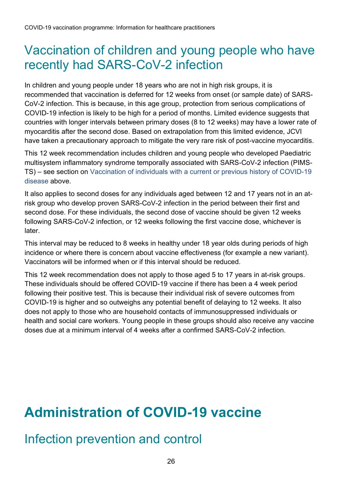#### <span id="page-25-0"></span>Vaccination of children and young people who have recently had SARS-CoV-2 infection

In children and young people under 18 years who are not in high risk groups, it is recommended that vaccination is deferred for 12 weeks from onset (or sample date) of SARS-CoV-2 infection. This is because, in this age group, protection from serious complications of COVID-19 infection is likely to be high for a period of months. Limited evidence suggests that countries with longer intervals between primary doses (8 to 12 weeks) may have a lower rate of myocarditis after the second dose. Based on extrapolation from this limited evidence, JCVI have taken a precautionary approach to mitigate the very rare risk of post-vaccine myocarditis.

This 12 week recommendation includes children and young people who developed Paediatric multisystem inflammatory syndrome temporally associated with SARS-CoV-2 infection (PIMS-TS) – see section on Vaccination of individuals with a current or previous history of COVID-19 disease above.

It also applies to second doses for any individuals aged between 12 and 17 years not in an atrisk group who develop proven SARS-CoV-2 infection in the period between their first and second dose. For these individuals, the second dose of vaccine should be given 12 weeks following SARS-CoV-2 infection, or 12 weeks following the first vaccine dose, whichever is later.

This interval may be reduced to 8 weeks in healthy under 18 year olds during periods of high incidence or where there is concern about vaccine effectiveness (for example a new variant). Vaccinators will be informed when or if this interval should be reduced.

This 12 week recommendation does not apply to those aged 5 to 17 years in at-risk groups. These individuals should be offered COVID-19 vaccine if there has been a 4 week period following their positive test. This is because their individual risk of severe outcomes from COVID-19 is higher and so outweighs any potential benefit of delaying to 12 weeks. It also does not apply to those who are household contacts of immunosuppressed individuals or health and social care workers. Young people in these groups should also receive any vaccine doses due at a minimum interval of 4 weeks after a confirmed SARS-CoV-2 infection.

# <span id="page-25-1"></span>**Administration of COVID-19 vaccine**

#### <span id="page-25-2"></span>Infection prevention and control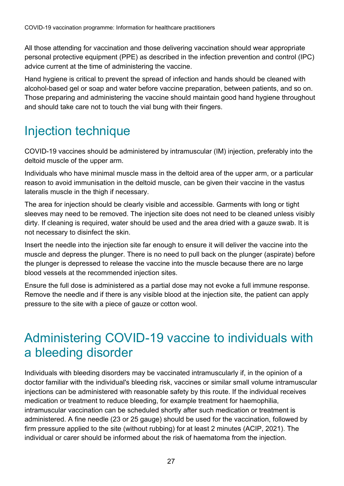All those attending for vaccination and those delivering vaccination should wear appropriate personal protective equipment (PPE) as described in the infection prevention and control (IPC) advice current at the time of administering the vaccine.

Hand hygiene is critical to prevent the spread of infection and hands should be cleaned with alcohol-based gel or soap and water before vaccine preparation, between patients, and so on. Those preparing and administering the vaccine should maintain good hand hygiene throughout and should take care not to touch the vial bung with their fingers.

## <span id="page-26-0"></span>Injection technique

COVID-19 vaccines should be administered by intramuscular (IM) injection, preferably into the deltoid muscle of the upper arm.

Individuals who have minimal muscle mass in the deltoid area of the upper arm, or a particular reason to avoid immunisation in the deltoid muscle, can be given their vaccine in the vastus lateralis muscle in the thigh if necessary.

The area for injection should be clearly visible and accessible. Garments with long or tight sleeves may need to be removed. The injection site does not need to be cleaned unless visibly dirty. If cleaning is required, water should be used and the area dried with a gauze swab. It is not necessary to disinfect the skin.

Insert the needle into the injection site far enough to ensure it will deliver the vaccine into the muscle and depress the plunger. There is no need to pull back on the plunger (aspirate) before the plunger is depressed to release the vaccine into the muscle because there are no large blood vessels at the recommended injection sites.

Ensure the full dose is administered as a partial dose may not evoke a full immune response. Remove the needle and if there is any visible blood at the injection site, the patient can apply pressure to the site with a piece of gauze or cotton wool.

### <span id="page-26-1"></span>Administering COVID-19 vaccine to individuals with a bleeding disorder

Individuals with bleeding disorders may be vaccinated intramuscularly if, in the opinion of a doctor familiar with the individual's bleeding risk, vaccines or similar small volume intramuscular injections can be administered with reasonable safety by this route. If the individual receives medication or treatment to reduce bleeding, for example treatment for haemophilia, intramuscular vaccination can be scheduled shortly after such medication or treatment is administered. A fine needle (23 or 25 gauge) should be used for the vaccination, followed by firm pressure applied to the site (without rubbing) for at least 2 minutes [\(ACIP, 2021\).](https://www.cdc.gov/vaccines/hcp/acip-recs/general-recs/special-situations.html) The individual or carer should be informed about the risk of haematoma from the injection.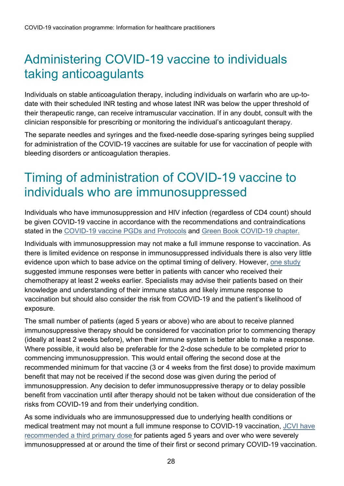# <span id="page-27-0"></span>Administering COVID-19 vaccine to individuals taking anticoagulants

Individuals on stable anticoagulation therapy, including individuals on warfarin who are up-todate with their scheduled INR testing and whose latest INR was below the upper threshold of their therapeutic range, can receive intramuscular vaccination. If in any doubt, consult with the clinician responsible for prescribing or monitoring the individual's anticoagulant therapy.

The separate needles and syringes and the fixed-needle dose-sparing syringes being supplied for administration of the COVID-19 vaccines are suitable for use for vaccination of people with bleeding disorders or anticoagulation therapies.

## <span id="page-27-1"></span>Timing of administration of COVID-19 vaccine to individuals who are immunosuppressed

Individuals who have immunosuppression and HIV infection (regardless of CD4 count) should be given COVID-19 vaccine in accordance with the recommendations and contraindications stated in the [COVID-19 vaccine PGDs and Protocols](https://www.gov.uk/government/collections/covid-19-vaccination-programme#protocols-and-patient-group-directions-(pgds)) and [Green Book COVID-19 chapter.](https://www.gov.uk/government/publications/covid-19-the-green-book-chapter-14a)

Individuals with immunosuppression may not make a full immune response to vaccination. As there is limited evidence on response in immunosuppressed individuals there is also very little evidence upon which to base advice on the optimal timing of delivery. However, one [study](https://www.medrxiv.org/content/10.1101/2021.03.17.21253131v1) suggested immune responses were better in patients with cancer who received their chemotherapy at least 2 weeks earlier. Specialists may advise their patients based on their knowledge and understanding of their immune status and likely immune response to vaccination but should also consider the risk from COVID-19 and the patient's likelihood of exposure.

The small number of patients (aged 5 years or above) who are about to receive planned immunosuppressive therapy should be considered for vaccination prior to commencing therapy (ideally at least 2 weeks before), when their immune system is better able to make a response. Where possible, it would also be preferable for the 2-dose schedule to be completed prior to commencing immunosuppression. This would entail offering the second dose at the recommended minimum for that vaccine (3 or 4 weeks from the first dose) to provide maximum benefit that may not be received if the second dose was given during the period of immunosuppression. Any decision to defer immunosuppressive therapy or to delay possible benefit from vaccination until after therapy should not be taken without due consideration of the risks from COVID-19 and from their underlying condition.

As some individuals who are immunosuppressed due to underlying health conditions or medical treatment may not mount a full immune response to COVID-19 vaccination, [JCVI have](https://www.gov.uk/government/publications/third-primary-covid-19-vaccine-dose-for-people-who-are-immunosuppressed-jcvi-advice/joint-committee-on-vaccination-and-immunisation-jcvi-advice-on-third-primary-dose-vaccination)  [recommended a third primary dose f](https://www.gov.uk/government/publications/third-primary-covid-19-vaccine-dose-for-people-who-are-immunosuppressed-jcvi-advice/joint-committee-on-vaccination-and-immunisation-jcvi-advice-on-third-primary-dose-vaccination)or patients aged 5 years and over who were severely immunosuppressed at or around the time of their first or second primary COVID-19 vaccination.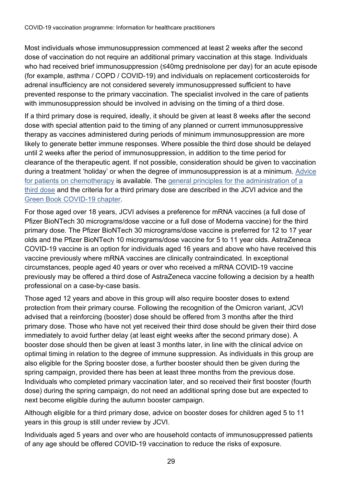Most individuals whose immunosuppression commenced at least 2 weeks after the second dose of vaccination do not require an additional primary vaccination at this stage. Individuals who had received brief immunosuppression (≤40mg prednisolone per day) for an acute episode (for example, asthma / COPD / COVID-19) and individuals on replacement corticosteroids for adrenal insufficiency are not considered severely immunosuppressed sufficient to have prevented response to the primary vaccination. The specialist involved in the care of patients with immunosuppression should be involved in advising on the timing of a third dose.

If a third primary dose is required, ideally, it should be given at least 8 weeks after the second dose with special attention paid to the timing of any planned or current immunosuppressive therapy as vaccines administered during periods of minimum immunosuppression are more likely to generate better immune responses. Where possible the third dose should be delayed until 2 weeks after the period of immunosuppression, in addition to the time period for clearance of the therapeutic agent. If not possible, consideration should be given to vaccination during a treatment 'holiday' or when the degree of immunosuppression is at a minimum. [Advice](http://www.ukchemotherapyboard.org/publications)  [for patients on chemotherapy](http://www.ukchemotherapyboard.org/publications) is available. The [general principles for the administration of a](https://www.gov.uk/government/publications/third-primary-covid-19-vaccine-dose-for-people-who-are-immunosuppressed-jcvi-advice/joint-committee-on-vaccination-and-immunisation-jcvi-advice-on-third-primary-dose-vaccination)  [third dose](https://www.gov.uk/government/publications/third-primary-covid-19-vaccine-dose-for-people-who-are-immunosuppressed-jcvi-advice/joint-committee-on-vaccination-and-immunisation-jcvi-advice-on-third-primary-dose-vaccination) and the criteria for a third primary dose are described in the JCVI advice and the [Green Book COVID-19 chapter.](http://www.gov.uk/government/collections/immunisation-against-infectious-disease-the-green-book)

For those aged over 18 years, JCVI advises a preference for mRNA vaccines (a full dose of Pfizer BioNTech 30 micrograms/dose vaccine or a full dose of Moderna vaccine) for the third primary dose. The Pfizer BioNTech 30 micrograms/dose vaccine is preferred for 12 to 17 year olds and the Pfizer BioNTech 10 micrograms/dose vaccine for 5 to 11 year olds. AstraZeneca COVID-19 vaccine is an option for individuals aged 16 years and above who have received this vaccine previously where mRNA vaccines are clinically contraindicated. In exceptional circumstances, people aged 40 years or over who received a mRNA COVID-19 vaccine previously may be offered a third dose of AstraZeneca vaccine following a decision by a health professional on a case-by-case basis.

Those aged 12 years and above in this group will also require booster doses to extend protection from their primary course. Following the recognition of the Omicron variant, JCVI advised that a reinforcing (booster) dose should be offered from 3 months after the third primary dose. Those who have not yet received their third dose should be given their third dose immediately to avoid further delay (at least eight weeks after the second primary dose). A booster dose should then be given at least 3 months later, in line with the clinical advice on optimal timing in relation to the degree of immune suppression. As individuals in this group are also eligible for the Spring booster dose, a further booster should then be given during the spring campaign, provided there has been at least three months from the previous dose. Individuals who completed primary vaccination later, and so received their first booster (fourth dose) during the spring campaign, do not need an additional spring dose but are expected to next become eligible during the autumn booster campaign.

Although eligible for a third primary dose, advice on booster doses for children aged 5 to 11 years in this group is still under review by JCVI.

Individuals aged 5 years and over who are household contacts of immunosuppressed patients of any age should be offered COVID-19 vaccination to reduce the risks of exposure.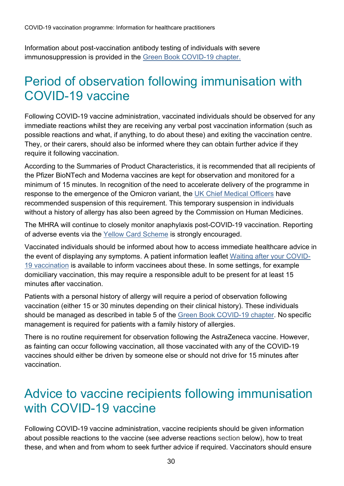Information about post-vaccination antibody testing of individuals with severe immunosuppression is provided in the [Green Book COVID-19 chapter.](http://www.gov.uk/government/collections/immunisation-against-infectious-disease-the-green-book)

### <span id="page-29-0"></span>Period of observation following immunisation with COVID-19 vaccine

Following COVID-19 vaccine administration, vaccinated individuals should be observed for any immediate reactions whilst they are receiving any verbal post vaccination information (such as possible reactions and what, if anything, to do about these) and exiting the vaccination centre. They, or their carers, should also be informed where they can obtain further advice if they require it following vaccination.

According to the Summaries of Product Characteristics, it is recommended that all recipients of the Pfizer BioNTech and Moderna vaccines are kept for observation and monitored for a minimum of 15 minutes. In recognition of the need to accelerate delivery of the programme in response to the emergence of the Omicron variant, the [UK Chief Medical Officers](https://www.gov.uk/government/publications/suspension-of-the-15-minute-wait-for-vaccination-with-mrna-vaccine-for-covid-19-uk-cmos-opinion) have recommended suspension of this requirement. This temporary suspension in individuals without a history of allergy has also been agreed by the Commission on Human Medicines.

The MHRA will continue to closely monitor anaphylaxis post-COVID-19 vaccination. Reporting of adverse events via the [Yellow Card Scheme](http://www.coronavirusyellowcard.mhra.gov.uk/) is strongly encouraged.

Vaccinated individuals should be informed about how to access immediate healthcare advice in the event of displaying any symptoms. A patient information leaflet [Waiting after your COVID-](https://www.gov.uk/government/publications/covid-19-vaccination-observation-period)19 [vaccination](https://www.gov.uk/government/publications/covid-19-vaccination-observation-period) is available to inform vaccinees about these. In some settings, for example domiciliary vaccination, this may require a responsible adult to be present for at least 15 minutes after vaccination.

Patients with a personal history of allergy will require a period of observation following vaccination (either 15 or 30 minutes depending on their clinical history). These individuals should be managed as described in table 5 of the [Green Book COVID-19 chapter.](http://www.gov.uk/government/collections/immunisation-against-infectious-disease-the-green-book) No specific management is required for patients with a family history of allergies.

There is no routine requirement for observation following the AstraZeneca vaccine. However, as fainting can occur following vaccination, all those vaccinated with any of the COVID-19 vaccines should either be driven by someone else or should not drive for 15 minutes after vaccination.

#### <span id="page-29-1"></span>Advice to vaccine recipients following immunisation with COVID-19 vaccine

Following COVID-19 vaccine administration, vaccine recipients should be given information about possible reactions to the vaccine (see adverse reactions section below), how to treat these, and when and from whom to seek further advice if required. Vaccinators should ensure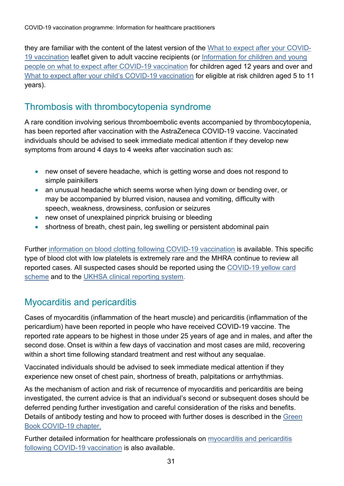they are familiar with the content of the latest version of the [What to expect after your COVID-](https://www.gov.uk/government/publications/covid-19-vaccination-what-to-expect-after-vaccination)[19 vaccination](https://www.gov.uk/government/publications/covid-19-vaccination-what-to-expect-after-vaccination) leaflet given to adult vaccine recipients (or [Information for children and young](https://www.gov.uk/government/publications/covid-19-vaccination-resources-for-children-and-young-people)  [people on what to expect after COVID-19 vaccination](https://www.gov.uk/government/publications/covid-19-vaccination-resources-for-children-and-young-people) for children aged 12 years and over and [What to expect after your child's COVID-19 vaccination](https://www.gov.uk/government/publications/covid-19-vaccination-resources-for-children-aged-5-to-11-years) for eligible at risk children aged 5 to 11 years).

#### Thrombosis with thrombocytopenia syndrome

A rare condition involving serious thromboembolic events accompanied by thrombocytopenia, has been reported after vaccination with the AstraZeneca COVID-19 vaccine. Vaccinated individuals should be advised to seek immediate medical attention if they develop new symptoms from around 4 days to 4 weeks after vaccination such as:

- new onset of severe headache, which is getting worse and does not respond to simple painkillers
- an unusual headache which seems worse when lying down or bending over, or may be accompanied by blurred vision, nausea and vomiting, difficulty with speech, weakness, drowsiness, confusion or seizures
- new onset of unexplained pinprick bruising or bleeding
- shortness of breath, chest pain, leg swelling or persistent abdominal pain

Further [information on blood clotting following COVID-19 vaccination](https://www.gov.uk/government/publications/covid-19-vaccination-blood-clotting-information-for-healthcare-professionals/information-for-healthcare-professionals-on-blood-clotting-following-covid-19-vaccination) is available. This specific type of blood clot with low platelets is extremely rare and the MHRA continue to review all reported cases. All suspected cases should be reported using the [COVID-19 yellow card](https://coronavirus-yellowcard.mhra.gov.uk/)  [scheme](https://coronavirus-yellowcard.mhra.gov.uk/) and to the UKHSA [clinical reporting system.](https://snapsurvey.phe.org.uk/snapwebhost/s.asp?k=161706705032)

#### Myocarditis and pericarditis

Cases of myocarditis (inflammation of the heart muscle) and pericarditis (inflammation of the pericardium) have been reported in people who have received COVID-19 vaccine. The reported rate appears to be highest in those under 25 years of age and in males, and after the second dose. Onset is within a few days of vaccination and most cases are mild, recovering within a short time following standard treatment and rest without any sequalae.

Vaccinated individuals should be advised to seek immediate medical attention if they experience new onset of chest pain, shortness of breath, palpitations or arrhythmias.

As the mechanism of action and risk of recurrence of myocarditis and pericarditis are being investigated, the current advice is that an individual's second or subsequent doses should be deferred pending further investigation and careful consideration of the risks and benefits. Details of antibody testing and how to proceed with further doses is described in the Green [Book COVID-19 chapter.](http://www.gov.uk/government/collections/immunisation-against-infectious-disease-the-green-book)

Further detailed information for healthcare professionals on [myocarditis and pericarditis](https://www.gov.uk/government/publications/covid-19-vaccination-myocarditis-and-pericarditis-information-for-healthcare-professionals/information-for-healthcare-professionals-on-myocarditis-and-pericarditis-following-covid-19-vaccination)  [following COVID-19 vaccination](https://www.gov.uk/government/publications/covid-19-vaccination-myocarditis-and-pericarditis-information-for-healthcare-professionals/information-for-healthcare-professionals-on-myocarditis-and-pericarditis-following-covid-19-vaccination) is also available.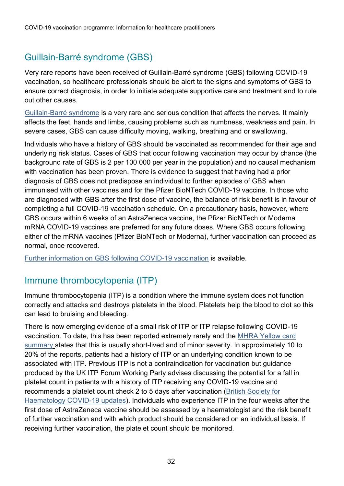#### Guillain-Barré syndrome (GBS)

Very rare reports have been received of Guillain-Barré syndrome (GBS) following COVID-19 vaccination, so healthcare professionals should be alert to the signs and symptoms of GBS to ensure correct diagnosis, in order to initiate adequate supportive care and treatment and to rule out other causes.

[Guillain-Barré syndrome](https://www.nhs.uk/conditions/guillain-barre-syndrome/) is a very rare and serious condition that affects the nerves. It mainly affects the feet, hands and limbs, causing problems such as numbness, weakness and pain. In severe cases, GBS can cause difficulty moving, walking, breathing and or swallowing.

Individuals who have a history of GBS should be vaccinated as recommended for their age and underlying risk status. Cases of GBS that occur following vaccination may occur by chance (the background rate of GBS is 2 per 100 000 per year in the population) and no causal mechanism with vaccination has been proven. There is evidence to suggest that having had a prior diagnosis of GBS does not predispose an individual to further episodes of GBS when immunised with other vaccines and for the Pfizer BioNTech COVID-19 vaccine. In those who are diagnosed with GBS after the first dose of vaccine, the balance of risk benefit is in favour of completing a full COVID-19 vaccination schedule. On a precautionary basis, however, where GBS occurs within 6 weeks of an AstraZeneca vaccine, the Pfizer BioNTech or Moderna mRNA COVID-19 vaccines are preferred for any future doses. Where GBS occurs following either of the mRNA vaccines (Pfizer BioNTech or Moderna), further vaccination can proceed as normal, once recovered.

[Further information on GBS](https://www.gov.uk/government/publications/covid-19-vaccination-guillain-barre-syndrome-information-for-healthcare-professionals/information-for-healthcare-professionals-on-guillain-barre-syndrome-gbs-following-covid-19-vaccination) following COVID-19 vaccination is available.

#### Immune thrombocytopenia (ITP)

Immune thrombocytopenia (ITP) is a condition where the immune system does not function correctly and attacks and destroys platelets in the blood. Platelets help the blood to clot so this can lead to bruising and bleeding.

There is now emerging evidence of a small risk of ITP or ITP relapse following COVID-19 vaccination. To date, this has been reported extremely rarely and the [MHRA Yellow card](https://www.gov.uk/government/publications/coronavirus-covid-19-vaccine-adverse-reactions/coronavirus-vaccine-summary-of-yellow-card-reporting)  [summary](https://www.gov.uk/government/publications/coronavirus-covid-19-vaccine-adverse-reactions/coronavirus-vaccine-summary-of-yellow-card-reporting) states that this is usually short-lived and of minor severity. In approximately 10 to 20% of the reports, patients had a history of ITP or an underlying condition known to be associated with ITP. Previous ITP is not a contraindication for vaccination but guidance produced by the UK ITP Forum Working Party advises discussing the potential for a fall in platelet count in patients with a history of ITP receiving any COVID-19 vaccine and recommends a platelet count check 2 to 5 days after vaccination [\(British Society for](https://b-s-h.org.uk/about-us/news/COVID-19-updates/)  [Haematology COVID-19 updates\)](https://b-s-h.org.uk/about-us/news/COVID-19-updates/). Individuals who experience ITP in the four weeks after the first dose of AstraZeneca vaccine should be assessed by a haematologist and the risk benefit of further vaccination and with which product should be considered on an individual basis. If receiving further vaccination, the platelet count should be monitored.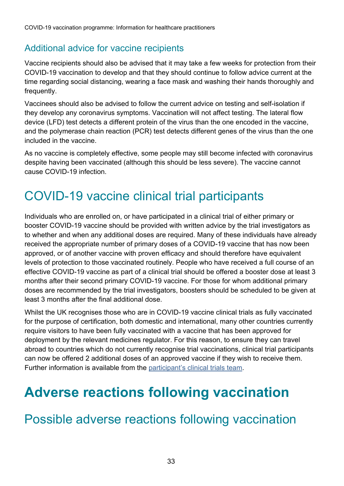#### Additional advice for vaccine recipients

Vaccine recipients should also be advised that it may take a few weeks for protection from their COVID-19 vaccination to develop and that they should continue to follow advice current at the time regarding social distancing, wearing a face mask and washing their hands thoroughly and frequently.

Vaccinees should also be advised to follow the current advice on testing and self-isolation if they develop any coronavirus symptoms. Vaccination will not affect testing. The lateral flow device (LFD) test detects a different protein of the virus than the one encoded in the vaccine, and the polymerase chain reaction (PCR) test detects different genes of the virus than the one included in the vaccine.

As no vaccine is completely effective, some people may still become infected with coronavirus despite having been vaccinated (although this should be less severe). The vaccine cannot cause COVID-19 infection.

## <span id="page-32-0"></span>COVID-19 vaccine clinical trial participants

Individuals who are enrolled on, or have participated in a clinical trial of either primary or booster COVID-19 vaccine should be provided with written advice by the trial investigators as to whether and when any additional doses are required. Many of these individuals have already received the appropriate number of primary doses of a COVID-19 vaccine that has now been approved, or of another vaccine with proven efficacy and should therefore have equivalent levels of protection to those vaccinated routinely. People who have received a full course of an effective COVID-19 vaccine as part of a clinical trial should be offered a booster dose at least 3 months after their second primary COVID-19 vaccine. For those for whom additional primary doses are recommended by the trial investigators, boosters should be scheduled to be given at least 3 months after the final additional dose.

Whilst the UK recognises those who are in COVID-19 vaccine clinical trials as fully vaccinated for the purpose of certification, both domestic and international, many other countries currently require visitors to have been fully vaccinated with a vaccine that has been approved for deployment by the relevant medicines regulator. For this reason, to ensure they can travel abroad to countries which do not currently recognise trial vaccinations, clinical trial participants can now be offered 2 additional doses of an approved vaccine if they wish to receive them. Further information is available from the [participant's clinical trials team.](https://www.gov.uk/government/news/clinical-trialists-to-be-offered-top-up-vaccine-doses)

# <span id="page-32-1"></span>**Adverse reactions following vaccination**

#### <span id="page-32-2"></span>Possible adverse reactions following vaccination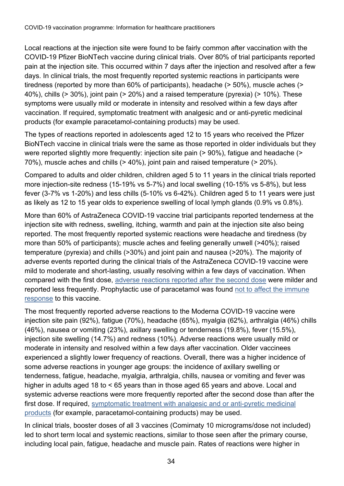Local reactions at the injection site were found to be fairly common after vaccination with the COVID-19 Pfizer BioNTech vaccine during clinical trials. Over 80% of trial participants reported pain at the injection site. This occurred within 7 days after the injection and resolved after a few days. In clinical trials, the most frequently reported systemic reactions in participants were tiredness (reported by more than 60% of participants), headache (> 50%), muscle aches (> 40%), chills (> 30%), joint pain (> 20%) and a raised temperature (pyrexia) (> 10%). These symptoms were usually mild or moderate in intensity and resolved within a few days after vaccination. If required, symptomatic treatment with analgesic and or anti-pyretic medicinal products (for example paracetamol-containing products) may be used.

The types of reactions reported in adolescents aged 12 to 15 years who received the Pfizer BioNTech vaccine in clinical trials were the same as those reported in older individuals but they were reported slightly more frequently: injection site pain (> 90%), fatigue and headache (> 70%), muscle aches and chills (> 40%), joint pain and raised temperature (> 20%).

Compared to adults and older children, children aged 5 to 11 years in the clinical trials reported more injection-site redness (15-19% vs 5-7%) and local swelling (10-15% vs 5-8%), but less fever (3-7% vs 1-20%) and less chills (5-10% vs 6-42%). Children aged 5 to 11 years were just as likely as 12 to 15 year olds to experience swelling of local lymph glands (0.9% vs 0.8%).

More than 60% of AstraZeneca COVID-19 vaccine trial participants reported tenderness at the injection site with redness, swelling, itching, warmth and pain at the injection site also being reported. The most frequently reported systemic reactions were headache and tiredness (by more than 50% of participants); muscle aches and feeling generally unwell (>40%); raised temperature (pyrexia) and chills (>30%) and joint pain and nausea (>20%). The majority of adverse events reported during the clinical trials of the AstraZeneca COVID-19 vaccine were mild to moderate and short-lasting, usually resolving within a few days of vaccination. When compared with the first dose, [adverse reactions reported after the second dose](https://www.gov.uk/government/publications/regulatory-approval-of-covid-19-vaccine-astrazeneca/information-for-healthcare-professionals-on-covid-19-vaccine-astrazeneca#clinical-particulars) were milder and reported less frequently. Prophylactic use of paracetamol was found [not to affect the immune](https://www.thelancet.com/journals/lancet/article/PIIS0140-6736(20)31604-4/fulltext)  [response](https://www.thelancet.com/journals/lancet/article/PIIS0140-6736(20)31604-4/fulltext) to this vaccine.

The most frequently reported adverse reactions to the Moderna COVID-19 vaccine were injection site pain (92%), fatigue (70%), headache (65%), myalgia (62%), arthralgia (46%) chills (46%), nausea or vomiting (23%), axillary swelling or tenderness (19.8%), fever (15.5%), injection site swelling (14.7%) and redness (10%). Adverse reactions were usually mild or moderate in intensity and resolved within a few days after vaccination. Older vaccinees experienced a slightly lower frequency of reactions. Overall, there was a higher incidence of some adverse reactions in younger age groups: the incidence of axillary swelling or tenderness, fatigue, headache, myalgia, arthralgia, chills, nausea or vomiting and fever was higher in adults aged 18 to < 65 years than in those aged 65 years and above. Local and systemic adverse reactions were more frequently reported after the second dose than after the first dose. If required, [symptomatic treatment with analgesic and](https://www.gov.uk/government/publications/regulatory-approval-of-covid-19-vaccine-moderna/information-for-healthcare-professionals-on-covid-19-vaccine-moderna) or anti-pyretic medicinal [products](https://www.gov.uk/government/publications/regulatory-approval-of-covid-19-vaccine-moderna/information-for-healthcare-professionals-on-covid-19-vaccine-moderna) (for example, paracetamol-containing products) may be used.

In clinical trials, booster doses of all 3 vaccines (Comirnaty 10 micrograms/dose not included) led to short term local and systemic reactions, similar to those seen after the primary course, including local pain, fatigue, headache and muscle pain. Rates of reactions were higher in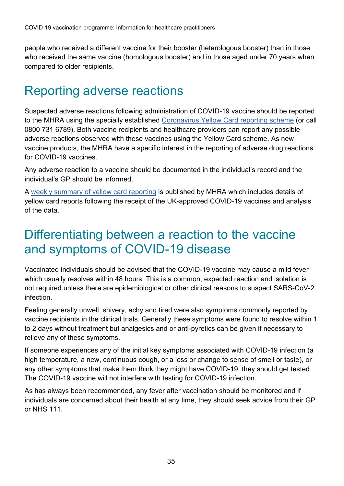people who received a different vaccine for their booster (heterologous booster) than in those who received the same vaccine (homologous booster) and in those aged under 70 years when compared to older recipients.

#### <span id="page-34-0"></span>Reporting adverse reactions

Suspected adverse reactions following administration of COVID-19 vaccine should be reported to the MHRA using the specially established [Coronavirus Yellow Card reporting scheme](https://eur01.safelinks.protection.outlook.com/?url=https%3A%2F%2Fcoronavirus-yellowcard.mhra.gov.uk%2F&data=04%7C01%7CLaura.Craig%40phe.gov.uk%7Cd88ca91103ad4981273808d885924f23%7Cee4e14994a354b2ead475f3cf9de8666%7C0%7C0%7C637406211767076338%7CUnknown%7CTWFpbGZsb3d8eyJWIjoiMC4wLjAwMDAiLCJQIjoiV2luMzIiLCJBTiI6Ik1haWwiLCJXVCI6Mn0%3D%7C2000&sdata=eWsZowAMP3uT91CU420YSEnBaI%2B%2By%2FZTSr59kOQbaSs%3D&reserved=0) (or call 0800 731 6789). Both vaccine recipients and healthcare providers can report any possible adverse reactions observed with these vaccines using the Yellow Card scheme. As new vaccine products, the MHRA have a specific interest in the reporting of adverse drug reactions for COVID-19 vaccines.

Any adverse reaction to a vaccine should be documented in the individual's record and the individual's GP should be informed.

A [weekly summary of yellow card reporting](https://www.gov.uk/government/publications/coronavirus-covid-19-vaccine-adverse-reactions/coronavirus-vaccine-summary-of-yellow-card-reporting) is published by MHRA which includes details of yellow card reports following the receipt of the UK-approved COVID-19 vaccines and analysis of the data.

#### <span id="page-34-1"></span>Differentiating between a reaction to the vaccine and symptoms of COVID-19 disease

Vaccinated individuals should be advised that the COVID-19 vaccine may cause a mild fever which usually resolves within 48 hours. This is a common, expected reaction and isolation is not required unless there are epidemiological or other clinical reasons to suspect SARS-CoV-2 infection.

Feeling generally unwell, shivery, achy and tired were also symptoms commonly reported by vaccine recipients in the clinical trials. Generally these symptoms were found to resolve within 1 to 2 days without treatment but analgesics and or anti-pyretics can be given if necessary to relieve any of these symptoms.

If someone experiences any of the initial key symptoms associated with COVID-19 infection (a high temperature, a new, continuous cough, or a loss or change to sense of smell or taste), or any other symptoms that make them think they might have COVID-19, they should get tested. The COVID-19 vaccine will not interfere with testing for COVID-19 infection.

As has always been recommended, any fever after vaccination should be monitored and if individuals are concerned about their health at any time, they should seek advice from their GP or NHS 111.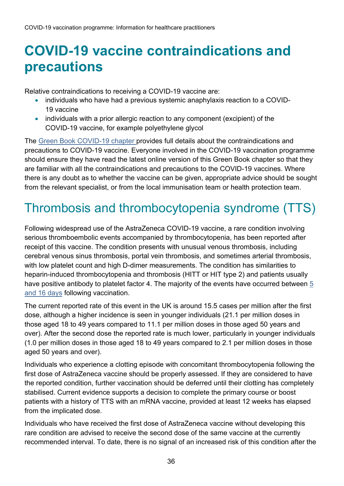# <span id="page-35-0"></span>**COVID-19 vaccine contraindications and precautions**

Relative contraindications to receiving a COVID-19 vaccine are:

- individuals who have had a previous systemic anaphylaxis reaction to a COVID-19 vaccine
- individuals with a prior allergic reaction to any component (excipient) of the COVID-19 vaccine, for example polyethylene glycol

The [Green Book COVID-19 chapter p](https://www.gov.uk/government/collections/immunisation-against-infectious-disease-the-green-book)rovides full details about the contraindications and precautions to COVID-19 vaccine. Everyone involved in the COVID-19 vaccination programme should ensure they have read the latest online version of this Green Book chapter so that they are familiar with all the contraindications and precautions to the COVID-19 vaccines. Where there is any doubt as to whether the vaccine can be given, appropriate advice should be sought from the relevant specialist, or from the local immunisation team or health protection team.

## <span id="page-35-1"></span>Thrombosis and thrombocytopenia syndrome (TTS)

Following widespread use of the AstraZeneca COVID-19 vaccine, a rare condition involving serious thromboembolic events accompanied by thrombocytopenia, has been reported after receipt of this vaccine. The condition presents with unusual venous thrombosis, including cerebral venous sinus thrombosis, portal vein thrombosis, and sometimes arterial thrombosis, with low platelet count and high D-dimer measurements. The condition has similarities to heparin-induced thrombocytopenia and thrombosis (HITT or HIT type 2) and patients usually have positive antibody to platelet factor 4. The majority of the events have occurred between [5](https://pubmed.ncbi.nlm.nih.gov/33835769/)  [and 16 days](https://pubmed.ncbi.nlm.nih.gov/33835769/) following vaccination.

The current reported rate of this event in the UK is around 15.5 cases per million after the first dose, although a higher incidence is seen in younger individuals (21.1 per million doses in those aged 18 to 49 years compared to 11.1 per million doses in those aged 50 years and over). After the second dose the reported rate is much lower, particularly in younger individuals (1.0 per million doses in those aged 18 to 49 years compared to 2.1 per million doses in those aged 50 years and over).

Individuals who experience a clotting episode with concomitant thrombocytopenia following the first dose of AstraZeneca vaccine should be properly assessed. If they are considered to have the reported condition, further vaccination should be deferred until their clotting has completely stabilised. Current evidence supports a decision to complete the primary course or boost patients with a history of TTS with an mRNA vaccine, provided at least 12 weeks has elapsed from the implicated dose.

Individuals who have received the first dose of AstraZeneca vaccine without developing this rare condition are advised to receive the second dose of the same vaccine at the currently recommended interval. To date, there is no signal of an increased risk of this condition after the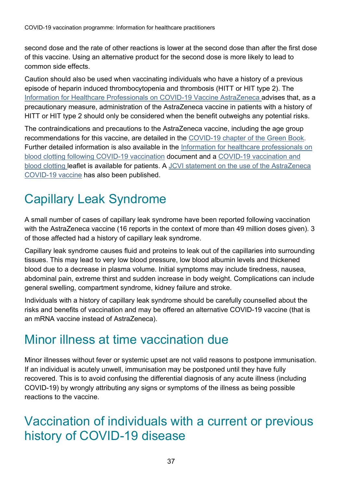second dose and the rate of other reactions is lower at the second dose than after the first dose of this vaccine. Using an alternative product for the second dose is more likely to lead to common side effects.

Caution should also be used when vaccinating individuals who have a history of a previous episode of heparin induced thrombocytopenia and thrombosis (HITT or HIT type 2). The [Information for Healthcare Professionals on COVID-19 Vaccine AstraZeneca a](https://www.gov.uk/government/publications/regulatory-approval-of-covid-19-vaccine-astrazeneca/information-for-healthcare-professionals-on-covid-19-vaccine-astrazeneca-regulation-174#pharmaceutical-particulars)dvises that, as a precautionary measure, administration of the AstraZeneca vaccine in patients with a history of HITT or HIT type 2 should only be considered when the benefit outweighs any potential risks.

The contraindications and precautions to the AstraZeneca vaccine, including the age group recommendations for this vaccine, are detailed in the [COVID-19 chapter of the Green Book.](https://www.gov.uk/government/collections/immunisation-against-infectious-disease-the-green-book) Further detailed information is also available in the Information for healthcare professionals on [blood clotting following COVID-19 vaccination](https://www.gov.uk/government/publications/covid-19-vaccination-blood-clotting-information-for-healthcare-professionals/information-for-healthcare-professionals-on-blood-clotting-following-covid-19-vaccination) document and a [COVID-19 vaccination and](https://assets.publishing.service.gov.uk/government/uploads/system/uploads/attachment_data/file/976880/PHE_COVID-19_AZ_vaccination_guide.pdf)  [blood clotting leaflet is available for patients.](https://assets.publishing.service.gov.uk/government/uploads/system/uploads/attachment_data/file/976880/PHE_COVID-19_AZ_vaccination_guide.pdf) A [JCVI statement on the use of the AstraZeneca](https://www.gov.uk/government/publications/use-of-the-astrazeneca-covid-19-vaccine-jcvi-statement-7-may-2021/use-of-the-astrazeneca-covid-19-azd1222-vaccine-updated-jcvi-statement-7-may-2021)  [COVID-19 vaccine](https://www.gov.uk/government/publications/use-of-the-astrazeneca-covid-19-vaccine-jcvi-statement-7-may-2021/use-of-the-astrazeneca-covid-19-azd1222-vaccine-updated-jcvi-statement-7-may-2021) has also been published.

# <span id="page-36-0"></span>Capillary Leak Syndrome

A small number of cases of capillary leak syndrome have been reported following vaccination with the AstraZeneca vaccine (16 reports in the context of more than 49 million doses given). 3 of those affected had a history of capillary leak syndrome.

Capillary leak syndrome causes fluid and proteins to leak out of the capillaries into surrounding tissues. This may lead to very low blood pressure, low blood albumin levels and thickened blood due to a decrease in plasma volume. Initial symptoms may include tiredness, nausea, abdominal pain, extreme thirst and sudden increase in body weight. Complications can include general swelling, compartment syndrome, kidney failure and stroke.

Individuals with a history of capillary leak syndrome should be carefully counselled about the risks and benefits of vaccination and may be offered an alternative COVID-19 vaccine (that is an mRNA vaccine instead of AstraZeneca).

#### <span id="page-36-1"></span>Minor illness at time vaccination due

Minor illnesses without fever or systemic upset are not valid reasons to postpone immunisation. If an individual is acutely unwell, immunisation may be postponed until they have fully recovered. This is to avoid confusing the differential diagnosis of any acute illness (including COVID-19) by wrongly attributing any signs or symptoms of the illness as being possible reactions to the vaccine.

#### <span id="page-36-2"></span>Vaccination of individuals with a current or previous history of COVID-19 disease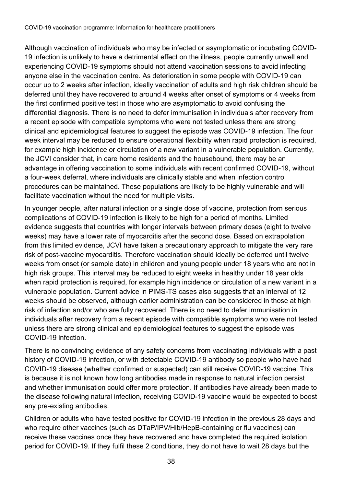Although vaccination of individuals who may be infected or asymptomatic or incubating COVID-19 infection is unlikely to have a detrimental effect on the illness, people currently unwell and experiencing COVID-19 symptoms should not attend vaccination sessions to avoid infecting anyone else in the vaccination centre. As deterioration in some people with COVID-19 can occur up to 2 weeks after infection, ideally vaccination of adults and high risk children should be deferred until they have recovered to around 4 weeks after onset of symptoms or 4 weeks from the first confirmed positive test in those who are asymptomatic to avoid confusing the differential diagnosis. There is no need to defer immunisation in individuals after recovery from a recent episode with compatible symptoms who were not tested unless there are strong clinical and epidemiological features to suggest the episode was COVID-19 infection. The four week interval may be reduced to ensure operational flexibility when rapid protection is required, for example high incidence or circulation of a new variant in a vulnerable population. Currently, the JCVI consider that, in care home residents and the housebound, there may be an advantage in offering vaccination to some individuals with recent confirmed COVID-19, without a four-week deferral, where individuals are clinically stable and when infection control procedures can be maintained. These populations are likely to be highly vulnerable and will facilitate vaccination without the need for multiple visits.

In younger people, after natural infection or a single dose of vaccine, protection from serious complications of COVID-19 infection is likely to be high for a period of months. Limited evidence suggests that countries with longer intervals between primary doses (eight to twelve weeks) may have a lower rate of myocarditis after the second dose. Based on extrapolation from this limited evidence, JCVI have taken a precautionary approach to mitigate the very rare risk of post-vaccine myocarditis. Therefore vaccination should ideally be deferred until twelve weeks from onset (or sample date) in children and young people under 18 years who are not in high risk groups. This interval may be reduced to eight weeks in healthy under 18 year olds when rapid protection is required, for example high incidence or circulation of a new variant in a vulnerable population. Current advice in PIMS-TS cases also suggests that an interval of 12 weeks should be observed, although earlier administration can be considered in those at high risk of infection and/or who are fully recovered. There is no need to defer immunisation in individuals after recovery from a recent episode with compatible symptoms who were not tested unless there are strong clinical and epidemiological features to suggest the episode was COVID-19 infection.

There is no convincing evidence of any safety concerns from vaccinating individuals with a past history of COVID-19 infection, or with detectable COVID-19 antibody so people who have had COVID-19 disease (whether confirmed or suspected) can still receive COVID-19 vaccine. This is because it is not known how long antibodies made in response to natural infection persist and whether immunisation could offer more protection. If antibodies have already been made to the disease following natural infection, receiving COVID-19 vaccine would be expected to boost any pre-existing antibodies.

Children or adults who have tested positive for COVID-19 infection in the previous 28 days and who require other vaccines (such as DTaP/IPV/Hib/HepB-containing or flu vaccines) can receive these vaccines once they have recovered and have completed the required isolation period for COVID-19. If they fulfil these 2 conditions, they do not have to wait 28 days but the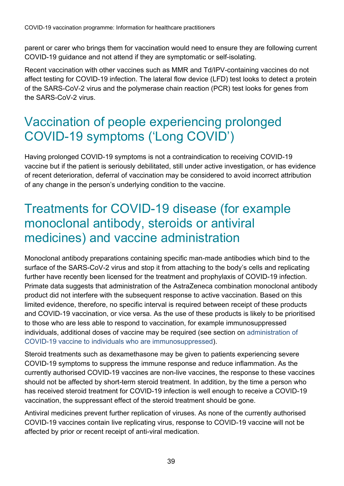parent or carer who brings them for vaccination would need to ensure they are following current COVID-19 guidance and not attend if they are symptomatic or self-isolating.

Recent vaccination with other vaccines such as MMR and Td/IPV-containing vaccines do not affect testing for COVID-19 infection. The lateral flow device (LFD) test looks to detect a protein of the SARS-CoV-2 virus and the polymerase chain reaction (PCR) test looks for genes from the SARS-CoV-2 virus.

## <span id="page-38-0"></span>Vaccination of people experiencing prolonged COVID-19 symptoms ('Long COVID')

Having prolonged COVID-19 symptoms is not a contraindication to receiving COVID-19 vaccine but if the patient is seriously debilitated, still under active investigation, or has evidence of recent deterioration, deferral of vaccination may be considered to avoid incorrect attribution of any change in the person's underlying condition to the vaccine.

#### <span id="page-38-1"></span>Treatments for COVID-19 disease (for example monoclonal antibody, steroids or antiviral medicines) and vaccine administration

Monoclonal antibody preparations containing specific man-made antibodies which bind to the surface of the SARS-CoV-2 virus and stop it from attaching to the body's cells and replicating further have recently been licensed for the treatment and prophylaxis of COVID-19 infection. Primate data suggests that administration of the AstraZeneca combination monoclonal antibody product did not interfere with the subsequent response to active vaccination. Based on this limited evidence, therefore, no specific interval is required between receipt of these products and COVID-19 vaccination, or vice versa. As the use of these products is likely to be prioritised to those who are less able to respond to vaccination, for example immunosuppressed individuals, additional doses of vaccine may be required (see section on administration of COVID-19 vaccine to individuals who are immunosuppressed).

Steroid treatments such as dexamethasone may be given to patients experiencing severe COVID-19 symptoms to suppress the immune response and reduce inflammation. As the currently authorised COVID-19 vaccines are non-live vaccines, the response to these vaccines should not be affected by short-term steroid treatment. In addition, by the time a person who has received steroid treatment for COVID-19 infection is well enough to receive a COVID-19 vaccination, the suppressant effect of the steroid treatment should be gone.

Antiviral medicines prevent further replication of viruses. As none of the currently authorised COVID-19 vaccines contain live replicating virus, response to COVID-19 vaccine will not be affected by prior or recent receipt of anti-viral medication.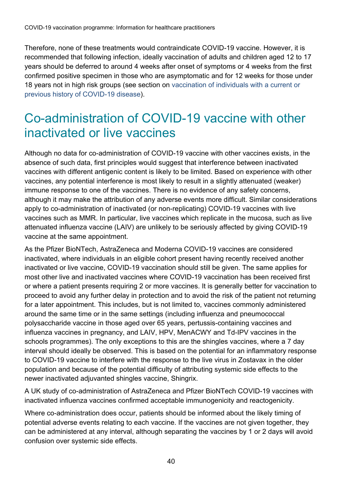Therefore, none of these treatments would contraindicate COVID-19 vaccine. However, it is recommended that following infection, ideally vaccination of adults and children aged 12 to 17 years should be deferred to around 4 weeks after onset of symptoms or 4 weeks from the first confirmed positive specimen in those who are asymptomatic and for 12 weeks for those under 18 years not in high risk groups (see section on vaccination of individuals with a current or previous history of COVID-19 disease).

### <span id="page-39-0"></span>Co-administration of COVID-19 vaccine with other inactivated or live vaccines

Although no data for co-administration of COVID-19 vaccine with other vaccines exists, in the absence of such data, first principles would suggest that interference between inactivated vaccines with different antigenic content is likely to be limited. Based on experience with other vaccines, any potential interference is most likely to result in a slightly attenuated (weaker) immune response to one of the vaccines. There is no evidence of any safety concerns, although it may make the attribution of any adverse events more difficult. Similar considerations apply to co-administration of inactivated (or non-replicating) COVID-19 vaccines with live vaccines such as MMR. In particular, live vaccines which replicate in the mucosa, such as live attenuated influenza vaccine (LAIV) are unlikely to be seriously affected by giving COVID-19 vaccine at the same appointment.

As the Pfizer BioNTech, AstraZeneca and Moderna COVID-19 vaccines are considered inactivated, where individuals in an eligible cohort present having recently received another inactivated or live vaccine, COVID-19 vaccination should still be given. The same applies for most other live and inactivated vaccines where COVID-19 vaccination has been received first or where a patient presents requiring 2 or more vaccines. It is generally better for vaccination to proceed to avoid any further delay in protection and to avoid the risk of the patient not returning for a later appointment. This includes, but is not limited to, vaccines commonly administered around the same time or in the same settings (including influenza and pneumococcal polysaccharide vaccine in those aged over 65 years, pertussis-containing vaccines and influenza vaccines in pregnancy, and LAIV, HPV, MenACWY and Td-IPV vaccines in the schools programmes). The only exceptions to this are the shingles vaccines, where a 7 day interval should ideally be observed. This is based on the potential for an inflammatory response to COVID-19 vaccine to interfere with the response to the live virus in Zostavax in the older population and because of the potential difficulty of attributing systemic side effects to the newer inactivated adjuvanted shingles vaccine, Shingrix.

A UK study of co-administration of AstraZeneca and Pfizer BioNTech COVID-19 vaccines with inactivated influenza vaccines confirmed acceptable immunogenicity and reactogenicity.

Where co-administration does occur, patients should be informed about the likely timing of potential adverse events relating to each vaccine. If the vaccines are not given together, they can be administered at any interval, although separating the vaccines by 1 or 2 days will avoid confusion over systemic side effects.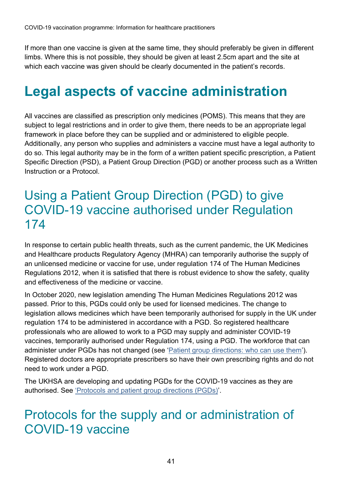If more than one vaccine is given at the same time, they should preferably be given in different limbs. Where this is not possible, they should be given at least 2.5cm apart and the site at which each vaccine was given should be clearly documented in the patient's records.

# <span id="page-40-0"></span>**Legal aspects of vaccine administration**

All vaccines are classified as prescription only medicines (POMS). This means that they are subject to legal restrictions and in order to give them, there needs to be an appropriate legal framework in place before they can be supplied and or administered to eligible people. Additionally, any person who supplies and administers a vaccine must have a legal authority to do so. This legal authority may be in the form of a written patient specific prescription, a Patient Specific Direction (PSD), a Patient Group Direction (PGD) or another process such as a Written Instruction or a Protocol.

#### <span id="page-40-1"></span>Using a Patient Group Direction (PGD) to give COVID-19 vaccine authorised under Regulation 174

In response to certain public health threats, such as the current pandemic, the UK Medicines and Healthcare products Regulatory Agency (MHRA) can temporarily authorise the supply of an unlicensed medicine or vaccine for use, under regulation 174 of The Human Medicines Regulations 2012, when it is satisfied that there is robust evidence to show the safety, quality and effectiveness of the medicine or vaccine.

In October 2020, new legislation amending The Human Medicines Regulations 2012 was passed. Prior to this, PGDs could only be used for licensed medicines. The change to legislation allows medicines which have been temporarily authorised for supply in the UK under regulation 174 to be administered in accordance with a PGD. So registered healthcare professionals who are allowed to work to a PGD may supply and administer COVID-19 vaccines, temporarily authorised under Regulation 174, using a PGD. The workforce that can administer under PGDs has not changed (see ['Patient group directions: who can use them'](http://www.gov.uk/government/publications/patient-group-directions-pgds/patient-group-directions-who-can-use-them)). Registered doctors are appropriate prescribers so have their own prescribing rights and do not need to work under a PGD.

The UKHSA are developing and updating PGDs for the COVID-19 vaccines as they are authorised. See ['Protocols and patient group directions \(PGDs\)'](http://www.gov.uk/government/collections/covid-19-vaccination-programme#protocols-and-patient-group-directions-(pgds)).

#### <span id="page-40-2"></span>Protocols for the supply and or administration of COVID-19 vaccine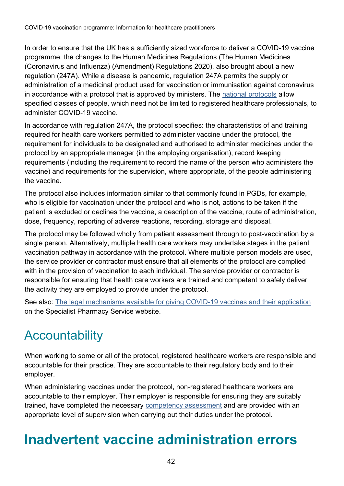In order to ensure that the UK has a sufficiently sized workforce to deliver a COVID-19 vaccine programme, the changes to the Human Medicines Regulations (The Human Medicines (Coronavirus and Influenza) (Amendment) Regulations 2020), also brought about a new regulation (247A). While a disease is pandemic, regulation 247A permits the supply or administration of a medicinal product used for vaccination or immunisation against coronavirus in accordance with a protocol that is approved by ministers. The [national protocols](https://www.gov.uk/government/collections/covid-19-vaccination-programme#protocols-and-patient-group-directions-(pgds)) allow specified classes of people, which need not be limited to registered healthcare professionals, to administer COVID-19 vaccine.

In accordance with regulation 247A, the protocol specifies: the characteristics of and training required for health care workers permitted to administer vaccine under the protocol, the requirement for individuals to be designated and authorised to administer medicines under the protocol by an appropriate manager (in the employing organisation), record keeping requirements (including the requirement to record the name of the person who administers the vaccine) and requirements for the supervision, where appropriate, of the people administering the vaccine.

The protocol also includes information similar to that commonly found in PGDs, for example, who is eligible for vaccination under the protocol and who is not, actions to be taken if the patient is excluded or declines the vaccine, a description of the vaccine, route of administration, dose, frequency, reporting of adverse reactions, recording, storage and disposal.

The protocol may be followed wholly from patient assessment through to post-vaccination by a single person. Alternatively, multiple health care workers may undertake stages in the patient vaccination pathway in accordance with the protocol. Where multiple person models are used, the service provider or contractor must ensure that all elements of the protocol are complied with in the provision of vaccination to each individual. The service provider or contractor is responsible for ensuring that health care workers are trained and competent to safely deliver the activity they are employed to provide under the protocol.

See also: [The legal mechanisms available for giving COVID-19 vaccines and their application](https://www.sps.nhs.uk/articles/the-legal-mechanisms-available-for-giving-covid-19-vaccines-and-their-application/) on the Specialist Pharmacy Service website.

# <span id="page-41-0"></span>**Accountability**

When working to some or all of the protocol, registered healthcare workers are responsible and accountable for their practice. They are accountable to their regulatory body and to their employer.

When administering vaccines under the protocol, non-registered healthcare workers are accountable to their employer. Their employer is responsible for ensuring they are suitably trained, have completed the necessary [competency assessment](https://www.gov.uk/government/publications/covid-19-vaccinator-competency-assessment-tool) and are provided with an appropriate level of supervision when carrying out their duties under the protocol.

# <span id="page-41-1"></span>**Inadvertent vaccine administration errors**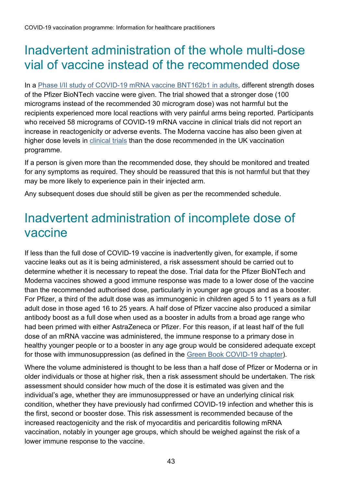### <span id="page-42-0"></span>Inadvertent administration of the whole multi-dose vial of vaccine instead of the recommended dose

In a [Phase I/II study of COVID-19 mRNA vaccine BNT162b1 in adults,](https://www.nature.com/articles/s41586-020-2639-4) different strength doses of the Pfizer BioNTech vaccine were given. The trial showed that a stronger dose (100 micrograms instead of the recommended 30 microgram dose) was not harmful but the recipients experienced more local reactions with very painful arms being reported. Participants who received 58 micrograms of COVID-19 mRNA vaccine in clinical trials did not report an increase in reactogenicity or adverse events. The Moderna vaccine has also been given at higher dose levels in [clinical trials](https://www.clinicaltrialsarena.com/news/first-us-covid-19-vaccine-trial-moderna/) than the dose recommended in the UK vaccination programme.

If a person is given more than the recommended dose, they should be monitored and treated for any symptoms as required. They should be reassured that this is not harmful but that they may be more likely to experience pain in their injected arm.

Any subsequent doses due should still be given as per the recommended schedule.

#### <span id="page-42-1"></span>Inadvertent administration of incomplete dose of vaccine

If less than the full dose of COVID-19 vaccine is inadvertently given, for example, if some vaccine leaks out as it is being administered, a risk assessment should be carried out to determine whether it is necessary to repeat the dose. Trial data for the Pfizer BioNTech and Moderna vaccines showed a good immune response was made to a lower dose of the vaccine than the recommended authorised dose, particularly in younger age groups and as a booster. For Pfizer, a third of the adult dose was as immunogenic in children aged 5 to 11 years as a full adult dose in those aged 16 to 25 years. A half dose of Pfizer vaccine also produced a similar antibody boost as a full dose when used as a booster in adults from a broad age range who had been primed with either AstraZeneca or Pfizer. For this reason, if at least half of the full dose of an mRNA vaccine was administered, the immune response to a primary dose in healthy younger people or to a booster in any age group would be considered adequate except for those with immunosuppression (as defined in the [Green Book COVID-19 chapter\)](http://www.gov.uk/government/collections/immunisation-against-infectious-disease-the-green-book).

Where the volume administered is thought to be less than a half dose of Pfizer or Moderna or in older individuals or those at higher risk, then a risk assessment should be undertaken. The risk assessment should consider how much of the dose it is estimated was given and the individual's age, whether they are immunosuppressed or have an underlying clinical risk condition, whether they have previously had confirmed COVID-19 infection and whether this is the first, second or booster dose. This risk assessment is recommended because of the increased reactogenicity and the risk of myocarditis and pericarditis following mRNA vaccination, notably in younger age groups, which should be weighed against the risk of a lower immune response to the vaccine.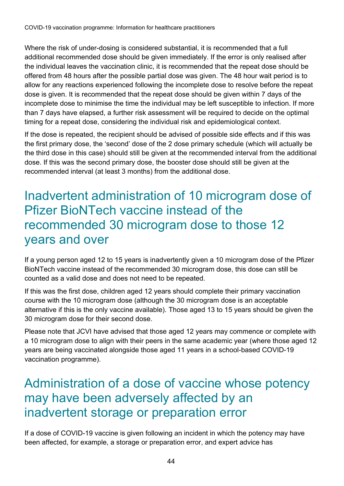Where the risk of under-dosing is considered substantial, it is recommended that a full additional recommended dose should be given immediately. If the error is only realised after the individual leaves the vaccination clinic, it is recommended that the repeat dose should be offered from 48 hours after the possible partial dose was given. The 48 hour wait period is to allow for any reactions experienced following the incomplete dose to resolve before the repeat dose is given. It is recommended that the repeat dose should be given within 7 days of the incomplete dose to minimise the time the individual may be left susceptible to infection. If more than 7 days have elapsed, a further risk assessment will be required to decide on the optimal timing for a repeat dose, considering the individual risk and epidemiological context.

If the dose is repeated, the recipient should be advised of possible side effects and if this was the first primary dose, the 'second' dose of the 2 dose primary schedule (which will actually be the third dose in this case) should still be given at the recommended interval from the additional dose. If this was the second primary dose, the booster dose should still be given at the recommended interval (at least 3 months) from the additional dose.

#### <span id="page-43-0"></span>Inadvertent administration of 10 microgram dose of Pfizer BioNTech vaccine instead of the recommended 30 microgram dose to those 12 years and over

If a young person aged 12 to 15 years is inadvertently given a 10 microgram dose of the Pfizer BioNTech vaccine instead of the recommended 30 microgram dose, this dose can still be counted as a valid dose and does not need to be repeated.

If this was the first dose, children aged 12 years should complete their primary vaccination course with the 10 microgram dose (although the 30 microgram dose is an acceptable alternative if this is the only vaccine available). Those aged 13 to 15 years should be given the 30 microgram dose for their second dose.

Please note that JCVI have advised that those aged 12 years may commence or complete with a 10 microgram dose to align with their peers in the same academic year (where those aged 12 years are being vaccinated alongside those aged 11 years in a school-based COVID-19 vaccination programme).

#### <span id="page-43-1"></span>Administration of a dose of vaccine whose potency may have been adversely affected by an inadvertent storage or preparation error

If a dose of COVID-19 vaccine is given following an incident in which the potency may have been affected, for example, a storage or preparation error, and expert advice has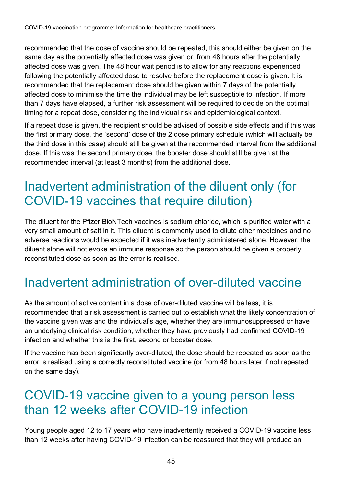recommended that the dose of vaccine should be repeated, this should either be given on the same day as the potentially affected dose was given or, from 48 hours after the potentially affected dose was given. The 48 hour wait period is to allow for any reactions experienced following the potentially affected dose to resolve before the replacement dose is given. It is recommended that the replacement dose should be given within 7 days of the potentially affected dose to minimise the time the individual may be left susceptible to infection. If more than 7 days have elapsed, a further risk assessment will be required to decide on the optimal timing for a repeat dose, considering the individual risk and epidemiological context.

If a repeat dose is given, the recipient should be advised of possible side effects and if this was the first primary dose, the 'second' dose of the 2 dose primary schedule (which will actually be the third dose in this case) should still be given at the recommended interval from the additional dose. If this was the second primary dose, the booster dose should still be given at the recommended interval (at least 3 months) from the additional dose.

### <span id="page-44-0"></span>Inadvertent administration of the diluent only (for COVID-19 vaccines that require dilution)

The diluent for the Pfizer BioNTech vaccines is sodium chloride, which is purified water with a very small amount of salt in it. This diluent is commonly used to dilute other medicines and no adverse reactions would be expected if it was inadvertently administered alone. However, the diluent alone will not evoke an immune response so the person should be given a properly reconstituted dose as soon as the error is realised.

## <span id="page-44-1"></span>Inadvertent administration of over-diluted vaccine

As the amount of active content in a dose of over-diluted vaccine will be less, it is recommended that a risk assessment is carried out to establish what the likely concentration of the vaccine given was and the individual's age, whether they are immunosuppressed or have an underlying clinical risk condition, whether they have previously had confirmed COVID-19 infection and whether this is the first, second or booster dose.

If the vaccine has been significantly over-diluted, the dose should be repeated as soon as the error is realised using a correctly reconstituted vaccine (or from 48 hours later if not repeated on the same day).

#### <span id="page-44-2"></span>COVID-19 vaccine given to a young person less than 12 weeks after COVID-19 infection

Young people aged 12 to 17 years who have inadvertently received a COVID-19 vaccine less than 12 weeks after having COVID-19 infection can be reassured that they will produce an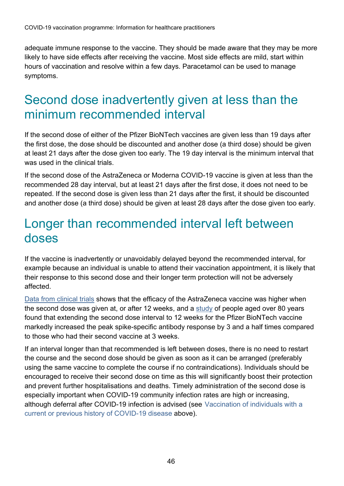adequate immune response to the vaccine. They should be made aware that they may be more likely to have side effects after receiving the vaccine. Most side effects are mild, start within hours of vaccination and resolve within a few days. Paracetamol can be used to manage symptoms.

#### <span id="page-45-0"></span>Second dose inadvertently given at less than the minimum recommended interval

If the second dose of either of the Pfizer BioNTech vaccines are given less than 19 days after the first dose, the dose should be discounted and another dose (a third dose) should be given at least 21 days after the dose given too early. The 19 day interval is the minimum interval that was used in the clinical trials.

If the second dose of the AstraZeneca or Moderna COVID-19 vaccine is given at less than the recommended 28 day interval, but at least 21 days after the first dose, it does not need to be repeated. If the second dose is given less than 21 days after the first, it should be discounted and another dose (a third dose) should be given at least 28 days after the dose given too early.

#### <span id="page-45-1"></span>Longer than recommended interval left between doses

If the vaccine is inadvertently or unavoidably delayed beyond the recommended interval, for example because an individual is unable to attend their vaccination appointment, it is likely that their response to this second dose and their longer term protection will not be adversely affected.

[Data from clinical](https://www.gov.uk/government/publications/regulatory-approval-of-covid-19-vaccine-astrazeneca/information-for-healthcare-professionals-on-covid-19-vaccine-astrazeneca-regulation-174) trials shows that the efficacy of the AstraZeneca vaccine was higher when the second dose was given at, or after 12 weeks, and a [study](http://www.medrxiv.org/content/10.1101/2021.05.15.21257017v1) of people aged over 80 years found that extending the second dose interval to 12 weeks for the Pfizer BioNTech vaccine markedly increased the peak spike-specific antibody response by 3 and a half times compared to those who had their second vaccine at 3 weeks.

If an interval longer than that recommended is left between doses, there is no need to restart the course and the second dose should be given as soon as it can be arranged (preferably using the same vaccine to complete the course if no contraindications). Individuals should be encouraged to receive their second dose on time as this will significantly boost their protection and prevent further hospitalisations and deaths. Timely administration of the second dose is especially important when COVID-19 community infection rates are high or increasing, although deferral after COVID-19 infection is advised (see Vaccination of individuals with a current or previous history of COVID-19 disease above).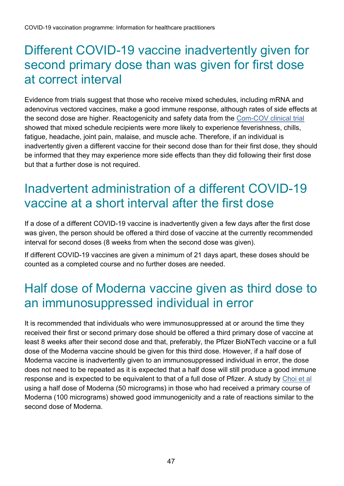#### <span id="page-46-0"></span>Different COVID-19 vaccine inadvertently given for second primary dose than was given for first dose at correct interval

Evidence from trials suggest that those who receive mixed schedules, including mRNA and adenovirus vectored vaccines, make a good immune response, although rates of side effects at the second dose are higher. Reactogenicity and safety data from the [Com-COV clinical trial](https://www.thelancet.com/journals/lancet/article/PIIS0140-6736(21)01115-6/fulltext) showed that mixed schedule recipients were more likely to experience feverishness, chills, fatigue, headache, joint pain, malaise, and muscle ache. Therefore, if an individual is inadvertently given a different vaccine for their second dose than for their first dose, they should be informed that they may experience more side effects than they did following their first dose but that a further dose is not required.

## <span id="page-46-1"></span>Inadvertent administration of a different COVID-19 vaccine at a short interval after the first dose

If a dose of a different COVID-19 vaccine is inadvertently given a few days after the first dose was given, the person should be offered a third dose of vaccine at the currently recommended interval for second doses (8 weeks from when the second dose was given).

If different COVID-19 vaccines are given a minimum of 21 days apart, these doses should be counted as a completed course and no further doses are needed.

### <span id="page-46-2"></span>Half dose of Moderna vaccine given as third dose to an immunosuppressed individual in error

It is recommended that individuals who were immunosuppressed at or around the time they received their first or second primary dose should be offered a third primary dose of vaccine at least 8 weeks after their second dose and that, preferably, the Pfizer BioNTech vaccine or a full dose of the Moderna vaccine should be given for this third dose. However, if a half dose of Moderna vaccine is inadvertently given to an immunosuppressed individual in error, the dose does not need to be repeated as it is expected that a half dose will still produce a good immune response and is expected to be equivalent to that of a full dose of Pfizer. A study by [Choi et al](https://www.nature.com/articles/s41591-021-01527-y) using a half dose of Moderna (50 micrograms) in those who had received a primary course of Moderna (100 micrograms) showed good immunogenicity and a rate of reactions similar to the second dose of Moderna.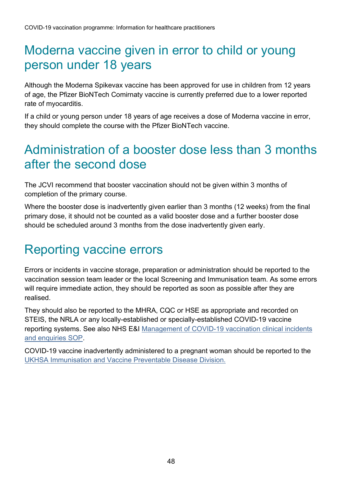### <span id="page-47-0"></span>Moderna vaccine given in error to child or young person under 18 years

Although the Moderna Spikevax vaccine has been approved for use in children from 12 years of age, the Pfizer BioNTech Comirnaty vaccine is currently preferred due to a lower reported rate of myocarditis.

If a child or young person under 18 years of age receives a dose of Moderna vaccine in error, they should complete the course with the Pfizer BioNTech vaccine.

### <span id="page-47-1"></span>Administration of a booster dose less than 3 months after the second dose

The JCVI recommend that booster vaccination should not be given within 3 months of completion of the primary course.

Where the booster dose is inadvertently given earlier than 3 months (12 weeks) from the final primary dose, it should not be counted as a valid booster dose and a further booster dose should be scheduled around 3 months from the dose inadvertently given early.

### <span id="page-47-2"></span>Reporting vaccine errors

Errors or incidents in vaccine storage, preparation or administration should be reported to the vaccination session team leader or the local Screening and Immunisation team. As some errors will require immediate action, they should be reported as soon as possible after they are realised.

They should also be reported to the MHRA, CQC or HSE as appropriate and recorded on STEIS, the NRLA or any locally-established or specially-established COVID-19 vaccine reporting systems. See also NHS E&I [Management of COVID-19 vaccination clinical incidents](https://www.england.nhs.uk/coronavirus/publication/standard-operating-procedure-management-of-covid-19-vaccination-clinical-incidents-and-enquiries/)  [and enquiries SOP.](https://www.england.nhs.uk/coronavirus/publication/standard-operating-procedure-management-of-covid-19-vaccination-clinical-incidents-and-enquiries/)

COVID-19 vaccine inadvertently administered to a pregnant woman should be reported to the UKHSA [Immunisation and Vaccine Preventable Disease Division.](http://www.gov.uk/guidance/vaccination-in-pregnancy-vip)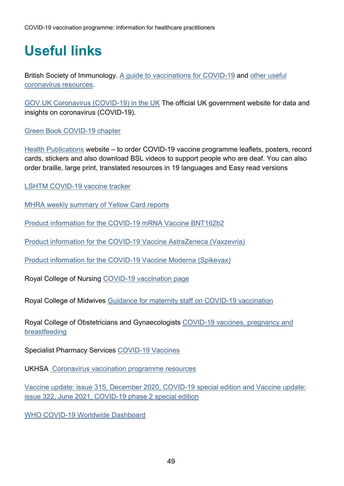# <span id="page-48-0"></span>**Useful links**

British Society of Immunology. [A guide to vaccinations for COVID-19](http://www.immunology.org/public-information/guide-vaccinations-for-covid-19) and [other useful](http://www.immunology.org/coronavirus)  [coronavirus resources.](http://www.immunology.org/coronavirus)

[GOV.UK Coronavirus \(COVID-19\) in the UK](https://coronavirus.data.gov.uk/) The official UK government website for data and insights on coronavirus (COVID-19).

[Green Book COVID-19 chapter](http://www.gov.uk/government/collections/immunisation-against-infectious-disease-the-green-book)

[Health Publications](https://www.healthpublications.gov.uk/Home.html) website – to order COVID-19 vaccine programme leaflets, posters, record cards, stickers and also download BSL videos to support people who are deaf. You can also order braille, large print, translated resources in 19 languages and Easy read versions

[LSHTM COVID-19 vaccine tracker](https://vaclshtm.shinyapps.io/ncov_vaccine_landscape/)

[MHRA weekly summary of Yellow Card reports](http://www.gov.uk/government/publications/coronavirus-covid-19-vaccine-adverse-reactions)

[Product information for the COVID-19 mRNA Vaccine BNT162b2](http://www.gov.uk/government/publications/regulatory-approval-of-pfizer-biontech-vaccine-for-covid-19)

[Product information for the COVID-19 Vaccine AstraZeneca \(Vaxzevria\)](http://www.gov.uk/government/publications/regulatory-approval-of-covid-19-vaccine-astrazeneca)

[Product information for the COVID-19](http://www.gov.uk/government/publications/regulatory-approval-of-covid-19-vaccine-moderna) Vaccine Moderna (Spikevax)

Royal College of Nursing [COVID-19 vaccination page](http://www.rcn.org.uk/clinical-topics/public-health/immunisation/covid-19-vaccination)

Royal College of Midwives Guidance [for maternity staff on COVID-19 vaccination](http://www.rcm.org.uk/guidance-for-maternity-staff/)

Royal College of Obstetricians and Gynaecologists [COVID-19 vaccines, pregnancy and](https://www.rcog.org.uk/en/guidelines-research-services/coronavirus-covid-19-pregnancy-and-womens-health/covid-19-vaccines-and-pregnancy/covid-19-vaccines-pregnancy-and-breastfeeding/)  [breastfeeding](https://www.rcog.org.uk/en/guidelines-research-services/coronavirus-covid-19-pregnancy-and-womens-health/covid-19-vaccines-and-pregnancy/covid-19-vaccines-pregnancy-and-breastfeeding/)

Specialist Pharmacy Services [COVID-19 Vaccines](http://www.sps.nhs.uk/home/covid-19-vaccines/)

UKHSA [Coronavirus vaccination programme resources](http://www.gov.uk/government/collections/immunisation)

[Vaccine update: issue 315, December 2020, COVID-19 special edition](http://www.gov.uk/government/publications/vaccine-update-issue-315-december-2020-covid-19-special-edition) and [Vaccine update:](https://www.gov.uk/government/publications/vaccine-update-issue-322-june-2021-covid-19-phase-2-special-edition)  [issue 322, June 2021, COVID-19 phase 2 special edition](https://www.gov.uk/government/publications/vaccine-update-issue-322-june-2021-covid-19-phase-2-special-edition)

WHO COVID-19 Worldwide Dashboard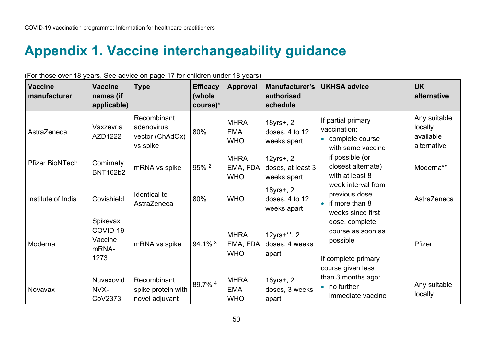# **Appendix 1. Vaccine interchangeability guidance**

<span id="page-49-0"></span>

| $\sim$ and $\sim$ and $\sim$ yours. Our during on page in formation direct to yours,<br><b>Vaccine</b><br>manufacturer | <b>Vaccine</b><br>names (if<br>applicable)       | <b>Type</b>                                              | <b>Efficacy</b><br>(whole<br>course)* | <b>Approval</b>                         | Manufacturer's<br>authorised<br>schedule         | <b>UKHSA advice</b>                                                                                                                                                                                                                             | <b>UK</b><br>alternative                            |  |
|------------------------------------------------------------------------------------------------------------------------|--------------------------------------------------|----------------------------------------------------------|---------------------------------------|-----------------------------------------|--------------------------------------------------|-------------------------------------------------------------------------------------------------------------------------------------------------------------------------------------------------------------------------------------------------|-----------------------------------------------------|--|
| AstraZeneca                                                                                                            | Vaxzevria<br>AZD1222                             | Recombinant<br>adenovirus<br>vector (ChAdOx)<br>vs spike | 80% 1                                 | <b>MHRA</b><br><b>EMA</b><br><b>OHW</b> | $18$ yrs+, 2<br>doses, 4 to 12<br>weeks apart    | If partial primary<br>vaccination:<br>• complete course<br>with same vaccine                                                                                                                                                                    | Any suitable<br>locally<br>available<br>alternative |  |
| <b>Pfizer BioNTech</b>                                                                                                 | Comirnaty<br><b>BNT162b2</b>                     | mRNA vs spike                                            | $95\%$ <sup>2</sup>                   | <b>MHRA</b><br>EMA, FDA<br><b>WHO</b>   | $12$ yrs+, 2<br>doses, at least 3<br>weeks apart | if possible (or<br>closest alternate)<br>with at least 8<br>week interval from<br>previous dose<br>$\bullet$ if more than 8<br>weeks since first<br>dose, complete<br>course as soon as<br>possible<br>If complete primary<br>course given less | Moderna**                                           |  |
| Institute of India                                                                                                     | Covishield                                       | Identical to<br>AstraZeneca                              | 80%                                   | <b>WHO</b>                              | $18$ yrs+, 2<br>doses, 4 to 12<br>weeks apart    |                                                                                                                                                                                                                                                 | AstraZeneca                                         |  |
| Moderna                                                                                                                | Spikevax<br>COVID-19<br>Vaccine<br>mRNA-<br>1273 | mRNA vs spike                                            | $94.1\%$ <sup>3</sup>                 | <b>MHRA</b><br>EMA, FDA<br><b>WHO</b>   | $12$ yrs+ $**$ , 2<br>doses, 4 weeks<br>apart    |                                                                                                                                                                                                                                                 |                                                     |  |
| Novavax                                                                                                                | Nuvaxovid<br>NVX-<br>CoV2373                     | Recombinant<br>spike protein with<br>novel adjuvant      | 89.7% 4                               | <b>MHRA</b><br><b>EMA</b><br><b>WHO</b> | $18$ yrs+, 2<br>doses, 3 weeks<br>apart          | than 3 months ago:<br>$\bullet$ no further<br>immediate vaccine                                                                                                                                                                                 | Any suitable<br>locally                             |  |

(For those over 18 years. See advice on page 17 for children under 18 years)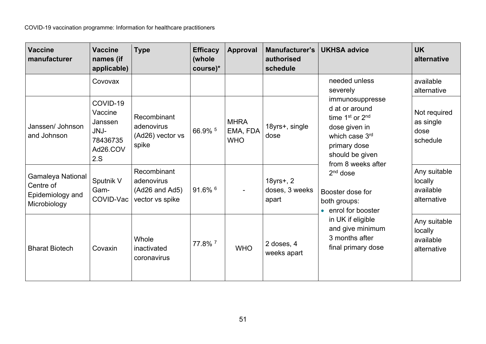| <b>Vaccine</b><br>manufacturer                                            | <b>Vaccine</b><br>names (if<br>applicable)                            | <b>Type</b>                                                    | <b>Efficacy</b><br>(whole<br>course)* | <b>Approval</b>                       | <b>Manufacturer's</b><br>authorised<br>schedule | <b>UKHSA advice</b>                                                                                                                                                                                                                                                                                        | <b>UK</b><br>alternative                            |  |  |  |                                               |
|---------------------------------------------------------------------------|-----------------------------------------------------------------------|----------------------------------------------------------------|---------------------------------------|---------------------------------------|-------------------------------------------------|------------------------------------------------------------------------------------------------------------------------------------------------------------------------------------------------------------------------------------------------------------------------------------------------------------|-----------------------------------------------------|--|--|--|-----------------------------------------------|
|                                                                           | Covovax                                                               |                                                                |                                       |                                       |                                                 | needed unless<br>severely                                                                                                                                                                                                                                                                                  | available<br>alternative                            |  |  |  |                                               |
| Janssen/ Johnson<br>and Johnson                                           | COVID-19<br>Vaccine<br>Janssen<br>JNJ-<br>78436735<br>Ad26.COV<br>2.S | Recombinant<br>adenovirus<br>(Ad26) vector vs<br>spike         | 66.9% 5                               | <b>MHRA</b><br>EMA, FDA<br><b>WHO</b> | 18yrs+, single<br>dose                          | immunosuppresse<br>d at or around<br>time 1st or 2nd<br>dose given in<br>which case 3rd<br>primary dose<br>should be given<br>from 8 weeks after<br>$2nd$ dose<br>Booster dose for<br>both groups:<br>• enrol for booster<br>in UK if eligible<br>and give minimum<br>3 months after<br>final primary dose |                                                     |  |  |  | Not required<br>as single<br>dose<br>schedule |
| <b>Gamaleya National</b><br>Centre of<br>Epidemiology and<br>Microbiology | Sputnik V<br>Gam-<br>COVID-Vac                                        | Recombinant<br>adenovirus<br>(Ad26 and Ad5)<br>vector vs spike | $91.6\%$ <sup>6</sup>                 |                                       | 18yrs+, 2<br>doses, 3 weeks<br>apart            |                                                                                                                                                                                                                                                                                                            | Any suitable<br>locally<br>available<br>alternative |  |  |  |                                               |
| <b>Bharat Biotech</b>                                                     | Covaxin                                                               | Whole<br>inactivated<br>coronavirus                            | 77.8% 7                               | <b>WHO</b>                            | 2 doses, 4<br>weeks apart                       |                                                                                                                                                                                                                                                                                                            | Any suitable<br>locally<br>available<br>alternative |  |  |  |                                               |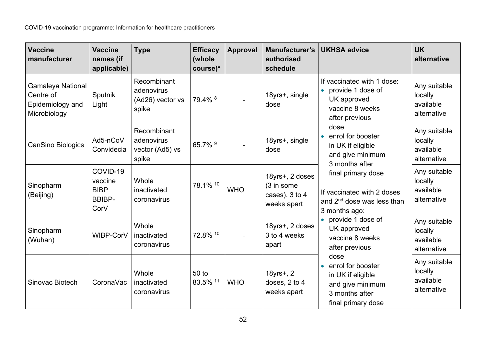| <b>Vaccine</b><br>manufacturer                                     | <b>Vaccine</b><br>names (if<br>applicable)                  | <b>Type</b>                                            | <b>Efficacy</b><br>(whole<br>course)* | <b>Approval</b> | Manufacturer's<br>authorised<br>schedule                       | <b>UKHSA advice</b>                                                                                                                                                                                                                                                                                                                                                                                                                                                                                            | <b>UK</b><br>alternative                            |                                                     |
|--------------------------------------------------------------------|-------------------------------------------------------------|--------------------------------------------------------|---------------------------------------|-----------------|----------------------------------------------------------------|----------------------------------------------------------------------------------------------------------------------------------------------------------------------------------------------------------------------------------------------------------------------------------------------------------------------------------------------------------------------------------------------------------------------------------------------------------------------------------------------------------------|-----------------------------------------------------|-----------------------------------------------------|
| Gamaleya National<br>Centre of<br>Epidemiology and<br>Microbiology | Sputnik<br>Light                                            | Recombinant<br>adenovirus<br>(Ad26) vector vs<br>spike | 79.4% 8                               |                 | 18yrs+, single<br>dose                                         | If vaccinated with 1 dose:<br>provide 1 dose of<br>$\bullet$<br>UK approved<br>vaccine 8 weeks<br>after previous<br>dose<br>enrol for booster<br>in UK if eligible<br>and give minimum<br>3 months after<br>final primary dose<br>If vaccinated with 2 doses<br>and 2 <sup>nd</sup> dose was less than<br>3 months ago:<br>provide 1 dose of<br>UK approved<br>vaccine 8 weeks<br>after previous<br>dose<br>enrol for booster<br>in UK if eligible<br>and give minimum<br>3 months after<br>final primary dose |                                                     | Any suitable<br>locally<br>available<br>alternative |
| CanSino Biologics                                                  | Ad5-nCoV<br>Convidecia                                      | Recombinant<br>adenovirus<br>vector (Ad5) vs<br>spike  | 65.7% 9                               |                 | 18yrs+, single<br>dose                                         |                                                                                                                                                                                                                                                                                                                                                                                                                                                                                                                | Any suitable<br>locally<br>available<br>alternative |                                                     |
| Sinopharm<br>(Beijing)                                             | COVID-19<br>vaccine<br><b>BIBP</b><br><b>BBIBP-</b><br>CorV | Whole<br>inactivated<br>coronavirus                    | 78.1% 10                              | <b>WHO</b>      | 18yrs+, 2 doses<br>(3 in some<br>cases), 3 to 4<br>weeks apart |                                                                                                                                                                                                                                                                                                                                                                                                                                                                                                                |                                                     | Any suitable<br>locally<br>available<br>alternative |
| Sinopharm<br>(Wuhan)                                               | WIBP-CorV                                                   | Whole<br>inactivated<br>coronavirus                    | 72.8% 10                              |                 | 18yrs+, 2 doses<br>3 to 4 weeks<br>apart                       |                                                                                                                                                                                                                                                                                                                                                                                                                                                                                                                | Any suitable<br>locally<br>available<br>alternative |                                                     |
| Sinovac Biotech                                                    | CoronaVac                                                   | Whole<br>inactivated<br>coronavirus                    | 50 to<br>83.5% 11                     | <b>WHO</b>      | 18yrs+, 2<br>doses, 2 to 4<br>weeks apart                      |                                                                                                                                                                                                                                                                                                                                                                                                                                                                                                                | Any suitable<br>locally<br>available<br>alternative |                                                     |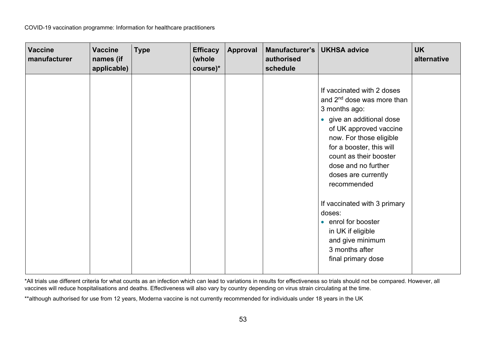| <b>Vaccine</b><br>manufacturer | <b>Vaccine</b><br>names (if<br>applicable) | <b>Type</b> | <b>Efficacy</b><br>(whole<br>course)* | Approval | Manufacturer's   UKHSA advice<br>authorised<br>schedule |                                                                                                                                                                                                                                                                                            | <b>UK</b><br>alternative |
|--------------------------------|--------------------------------------------|-------------|---------------------------------------|----------|---------------------------------------------------------|--------------------------------------------------------------------------------------------------------------------------------------------------------------------------------------------------------------------------------------------------------------------------------------------|--------------------------|
|                                |                                            |             |                                       |          |                                                         | If vaccinated with 2 doses<br>and 2 <sup>nd</sup> dose was more than<br>3 months ago:<br>• give an additional dose<br>of UK approved vaccine<br>now. For those eligible<br>for a booster, this will<br>count as their booster<br>dose and no further<br>doses are currently<br>recommended |                          |
|                                |                                            |             |                                       |          |                                                         | If vaccinated with 3 primary<br>doses:<br>• enrol for booster<br>in UK if eligible<br>and give minimum<br>3 months after<br>final primary dose                                                                                                                                             |                          |

\*All trials use different criteria for what counts as an infection which can lead to variations in results for effectiveness so trials should not be compared. However, all vaccines will reduce hospitalisations and deaths. Effectiveness will also vary by country depending on virus strain circulating at the time.

\*\*although authorised for use from 12 years, Moderna vaccine is not currently recommended for individuals under 18 years in the UK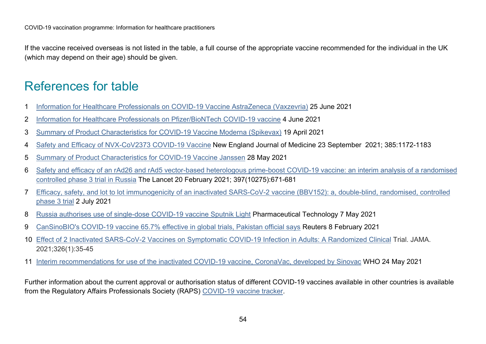If the vaccine received overseas is not listed in the table, a full course of the appropriate vaccine recommended for the individual in the UK (which may depend on their age) should be given.

### References for table

- 1 [Information for Healthcare Professionals on COVID-19 Vaccine AstraZeneca \(Vaxzevria\)](https://www.gov.uk/government/publications/regulatory-approval-of-covid-19-vaccine-astrazeneca/information-for-healthcare-professionals-on-covid-19-vaccine-astrazeneca-regulation-174#pharmaceutical-particulars) 25 June 2021
- 2 [Information for Healthcare Professionals on Pfizer/BioNTech COVID-19 vaccine](http://www.gov.uk/government/publications/regulatory-approval-of-pfizer-biontech-vaccine-for-covid-19/information-for-healthcare-professionals-on-pfizerbiontech-covid-19-vaccine) 4 June 2021
- 3 [Summary of Product Characteristics for COVID-19 Vaccine Moderna \(Spikevax\)](http://www.gov.uk/government/publications/regulatory-approval-of-covid-19-vaccine-moderna/information-for-healthcare-professionals-on-covid-19-vaccine-moderna) 19 April 2021
- 4 [Safety and Efficacy of NVX-CoV2373 COVID-19 Vaccine](https://www.nejm.org/doi/full/10.1056/NEJMoa2116185?query=featured_home) New England Journal of Medicine 23 September 2021; 385:1172-1183
- 5 [Summary of Product Characteristics for COVID-19 Vaccine Janssen](https://www.gov.uk/government/publications/regulatory-approval-of-covid-19-vaccine-janssen/summary-of-product-characteristics-for-covid-19-vaccine-janssen) 28 May 2021
- 6 [Safety and efficacy of an rAd26 and rAd5 vector-based heterologous prime-boost COVID-19 vaccine: an interim analysis of a randomised](http://www.thelancet.com/journals/lancet/article/PIIS0140-6736(21)00234-8/fulltext)  [controlled phase 3 trial in Russia](http://www.thelancet.com/journals/lancet/article/PIIS0140-6736(21)00234-8/fulltext) The Lancet 20 February 2021; 397(10275):671-681
- 7 [Efficacy, safety, and lot to lot immunogenicity of an inactivated SARS-CoV-2 vaccine \(BBV152\): a, double-blind, randomised, controlled](https://www.medrxiv.org/content/10.1101/2021.06.30.21259439v1)  [phase 3 trial](https://www.medrxiv.org/content/10.1101/2021.06.30.21259439v1) 2 July 2021
- 8 [Russia authorises use of single-dose COVID-19 vaccine Sputnik](https://www.pharmaceutical-technology.com/news/russia-authorises-sputnik-light/) Light Pharmaceutical Technology 7 May 2021
- <span id="page-53-0"></span>9 [CanSinoBIO's COVID-19 vaccine 65.7% effective in global trials, Pakistan official says](https://www.reuters.com/article/us-health-coronavirus-vaccine-pakistan/cansinobios-covid-19-vaccine-65-7-effective-in-global-trials-pakistan-official-says-idUSKBN2A81N0) Reuters 8 February 2021
- 10 [Effect of 2 Inactivated SARS-CoV-2 Vaccines on Symptomatic COVID-19 Infection in Adults: A Randomized Clinical](https://www.ncbi.nlm.nih.gov/pmc/articles/PMC8156175/) Trial. JAMA. 2021;326(1):35-45
- 11 [Interim recommendations for use of the inactivated COVID-19 vaccine, CoronaVac, developed by Sinovac](https://apps.who.int/iris/bitstream/handle/10665/341454/WHO-2019-nCoV-vaccines-SAGE-recommendation-Sinovac-CoronaVac-2021.1-eng.pdf) WHO 24 May 2021

Further information about the current approval or authorisation status of different COVID-19 vaccines available in other countries is available from the Regulatory Affairs Professionals Society (RAPS) [COVID-19 vaccine tracker.](https://www.raps.org/news-and-articles/news-articles/2020/3/covid-19-vaccine-tracker)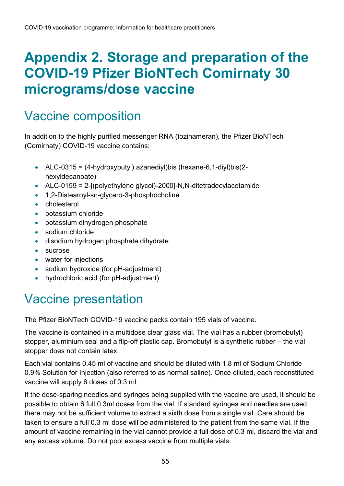# <span id="page-54-0"></span>**Appendix 2. Storage and preparation of the COVID-19 Pfizer BioNTech Comirnaty 30 micrograms/dose vaccine**

#### <span id="page-54-1"></span>Vaccine composition

In addition to the highly purified messenger RNA (tozinameran), the Pfizer BioNTech (Comirnaty) COVID-19 vaccine contains:

- ALC-0315 =  $(4-hydroxybutyl)$  azanediyl)bis (hexane-6,1-diyl)bis(2hexyldecanoate)
- ALC-0159 = 2- $[$ (polyethylene glycol)-2000]-N,N-ditetradecylacetamide
- 1,2-Distearoyl-sn-glycero-3-phosphocholine
- cholesterol
- potassium chloride
- potassium dihydrogen phosphate
- sodium chloride
- disodium hydrogen phosphate dihydrate
- sucrose
- water for injections
- sodium hydroxide (for pH-adjustment)
- hydrochloric acid (for pH-adjustment)

#### <span id="page-54-2"></span>Vaccine presentation

The Pfizer BioNTech COVID-19 vaccine packs contain 195 vials of vaccine.

The vaccine is contained in a multidose clear glass vial. The vial has a rubber (bromobutyl) stopper, aluminium seal and a flip-off plastic cap. Bromobutyl is a synthetic rubber – the vial stopper does not contain latex.

Each vial contains 0.45 ml of vaccine and should be diluted with 1.8 ml of Sodium Chloride 0.9% Solution for Injection (also referred to as normal saline). Once diluted, each reconstituted vaccine will supply 6 doses of 0.3 ml.

If the dose-sparing needles and syringes being supplied with the vaccine are used, it should be possible to obtain 6 full 0.3ml doses from the vial. If standard syringes and needles are used, there may not be sufficient volume to extract a sixth dose from a single vial. Care should be taken to ensure a full 0.3 ml dose will be administered to the patient from the same vial. If the amount of vaccine remaining in the vial cannot provide a full dose of 0.3 ml, discard the vial and any excess volume. Do not pool excess vaccine from multiple vials.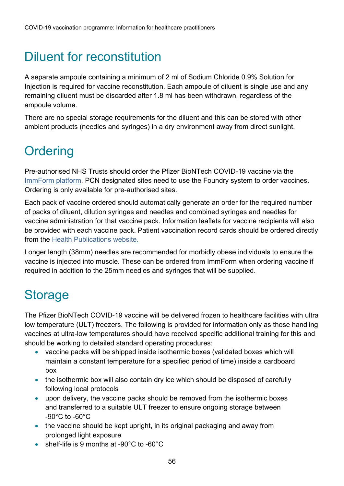# <span id="page-55-0"></span>Diluent for reconstitution

A separate ampoule containing a minimum of 2 ml of Sodium Chloride 0.9% Solution for Injection is required for vaccine reconstitution. Each ampoule of diluent is single use and any remaining diluent must be discarded after 1.8 ml has been withdrawn, regardless of the ampoule volume.

There are no special storage requirements for the diluent and this can be stored with other ambient products (needles and syringes) in a dry environment away from direct sunlight.

# <span id="page-55-1"></span>**Ordering**

Pre-authorised NHS Trusts should order the Pfizer BioNTech COVID-19 vaccine via the [ImmForm platform.](https://portal.immform.phe.gov.uk/Logon.aspx?returnurl=%2f) PCN designated sites need to use the Foundry system to order vaccines. Ordering is only available for pre-authorised sites.

Each pack of vaccine ordered should automatically generate an order for the required number of packs of diluent, dilution syringes and needles and combined syringes and needles for vaccine administration for that vaccine pack. Information leaflets for vaccine recipients will also be provided with each vaccine pack. Patient vaccination record cards should be ordered directly from the [Health Publications website.](https://www.healthpublications.gov.uk/Home.html)

Longer length (38mm) needles are recommended for morbidly obese individuals to ensure the vaccine is injected into muscle. These can be ordered from ImmForm when ordering vaccine if required in addition to the 25mm needles and syringes that will be supplied.

# <span id="page-55-2"></span>**Storage**

The Pfizer BioNTech COVID-19 vaccine will be delivered frozen to healthcare facilities with ultra low temperature (ULT) freezers. The following is provided for information only as those handling vaccines at ultra-low temperatures should have received specific additional training for this and should be working to detailed standard operating procedures:

- vaccine packs will be shipped inside isothermic boxes (validated boxes which will maintain a constant temperature for a specified period of time) inside a cardboard box
- the isothermic box will also contain dry ice which should be disposed of carefully following local protocols
- upon delivery, the vaccine packs should be removed from the isothermic boxes and transferred to a suitable ULT freezer to ensure ongoing storage between -90°C to -60°C
- the vaccine should be kept upright, in its original packaging and away from prolonged light exposure
- shelf-life is 9 months at -90°C to -60°C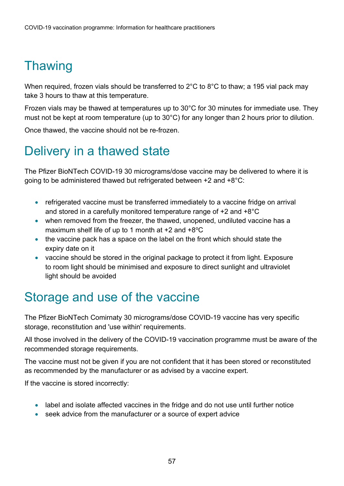# <span id="page-56-0"></span>**Thawing**

When required, frozen vials should be transferred to 2°C to 8°C to thaw; a 195 vial pack may take 3 hours to thaw at this temperature.

Frozen vials may be thawed at temperatures up to 30°C for 30 minutes for immediate use. They must not be kept at room temperature (up to 30°C) for any longer than 2 hours prior to dilution.

Once thawed, the vaccine should not be re-frozen.

### <span id="page-56-1"></span>Delivery in a thawed state

The Pfizer BioNTech COVID-19 30 micrograms/dose vaccine may be delivered to where it is going to be administered thawed but refrigerated between +2 and +8°C:

- refrigerated vaccine must be transferred immediately to a vaccine fridge on arrival and stored in a carefully monitored temperature range of +2 and +8°C
- when removed from the freezer, the thawed, unopened, undiluted vaccine has a maximum shelf life of up to 1 month at  $+2$  and  $+8^{\circ}$ C
- the vaccine pack has a space on the label on the front which should state the expiry date on it
- vaccine should be stored in the original package to protect it from light. Exposure to room light should be minimised and exposure to direct sunlight and ultraviolet light should be avoided

#### <span id="page-56-2"></span>Storage and use of the vaccine

The Pfizer BioNTech Comirnaty 30 micrograms/dose COVID-19 vaccine has very specific storage, reconstitution and 'use within' requirements.

All those involved in the delivery of the COVID-19 vaccination programme must be aware of the recommended storage requirements.

The vaccine must not be given if you are not confident that it has been stored or reconstituted as recommended by the manufacturer or as advised by a vaccine expert.

If the vaccine is stored incorrectly:

- label and isolate affected vaccines in the fridge and do not use until further notice
- <span id="page-56-3"></span>• seek advice from the manufacturer or a source of expert advice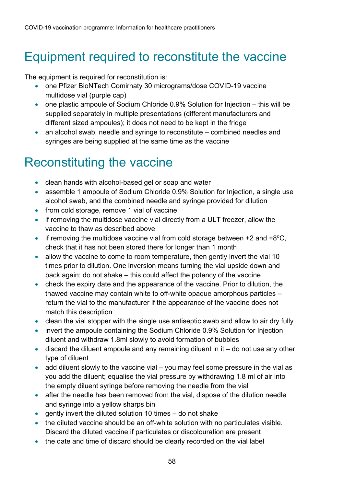## Equipment required to reconstitute the vaccine

The equipment is required for reconstitution is:

- one Pfizer BioNTech Comirnaty 30 micrograms/dose COVID-19 vaccine multidose vial (purple cap)
- one plastic ampoule of Sodium Chloride 0.9% Solution for Injection this will be supplied separately in multiple presentations (different manufacturers and different sized ampoules); it does not need to be kept in the fridge
- an alcohol swab, needle and syringe to reconstitute combined needles and syringes are being supplied at the same time as the vaccine

# <span id="page-57-0"></span>Reconstituting the vaccine

- clean hands with alcohol-based gel or soap and water
- assemble 1 ampoule of Sodium Chloride 0.9% Solution for Injection, a single use alcohol swab, and the combined needle and syringe provided for dilution
- from cold storage, remove 1 vial of vaccine
- if removing the multidose vaccine vial directly from a ULT freezer, allow the vaccine to thaw as described above
- if removing the multidose vaccine vial from cold storage between  $+2$  and  $+8^{\circ}$ C, check that it has not been stored there for longer than 1 month
- allow the vaccine to come to room temperature, then gently invert the vial 10 times prior to dilution. One inversion means turning the vial upside down and back again; do not shake – this could affect the potency of the vaccine
- check the expiry date and the appearance of the vaccine. Prior to dilution, the thawed vaccine may contain white to off-white opaque amorphous particles – return the vial to the manufacturer if the appearance of the vaccine does not match this description
- clean the vial stopper with the single use antiseptic swab and allow to air dry fully
- invert the ampoule containing the Sodium Chloride 0.9% Solution for Injection diluent and withdraw 1.8ml slowly to avoid formation of bubbles
- discard the diluent ampoule and any remaining diluent in it do not use any other type of diluent
- add diluent slowly to the vaccine vial you may feel some pressure in the vial as you add the diluent; equalise the vial pressure by withdrawing 1.8 ml of air into the empty diluent syringe before removing the needle from the vial
- after the needle has been removed from the vial, dispose of the dilution needle and syringe into a yellow sharps bin
- gently invert the diluted solution 10 times do not shake
- the diluted vaccine should be an off-white solution with no particulates visible. Discard the diluted vaccine if particulates or discolouration are present
- the date and time of discard should be clearly recorded on the vial label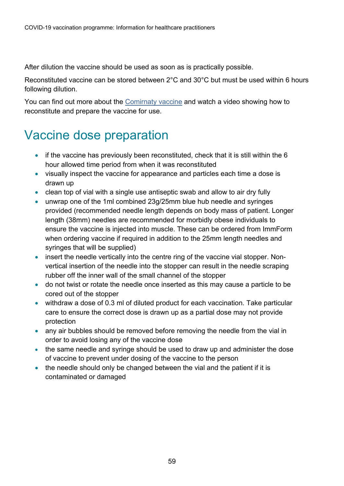After dilution the vaccine should be used as soon as is practically possible.

Reconstituted vaccine can be stored between 2°C and 30°C but must be used within 6 hours following dilution.

You can find out more about the [Comirnaty vaccine](http://www.comirnatyeducation.co.uk/) and watch a video showing how to reconstitute and prepare the vaccine for use.

#### <span id="page-58-0"></span>Vaccine dose preparation

- if the vaccine has previously been reconstituted, check that it is still within the 6 hour allowed time period from when it was reconstituted
- visually inspect the vaccine for appearance and particles each time a dose is drawn up
- clean top of vial with a single use antiseptic swab and allow to air dry fully
- unwrap one of the 1ml combined 23g/25mm blue hub needle and syringes provided (recommended needle length depends on body mass of patient. Longer length (38mm) needles are recommended for morbidly obese individuals to ensure the vaccine is injected into muscle. These can be ordered from ImmForm when ordering vaccine if required in addition to the 25mm length needles and syringes that will be supplied)
- insert the needle vertically into the centre ring of the vaccine vial stopper. Nonvertical insertion of the needle into the stopper can result in the needle scraping rubber off the inner wall of the small channel of the stopper
- do not twist or rotate the needle once inserted as this may cause a particle to be cored out of the stopper
- withdraw a dose of 0.3 ml of diluted product for each vaccination. Take particular care to ensure the correct dose is drawn up as a partial dose may not provide protection
- any air bubbles should be removed before removing the needle from the vial in order to avoid losing any of the vaccine dose
- the same needle and syringe should be used to draw up and administer the dose of vaccine to prevent under dosing of the vaccine to the person
- <span id="page-58-1"></span>• the needle should only be changed between the vial and the patient if it is contaminated or damaged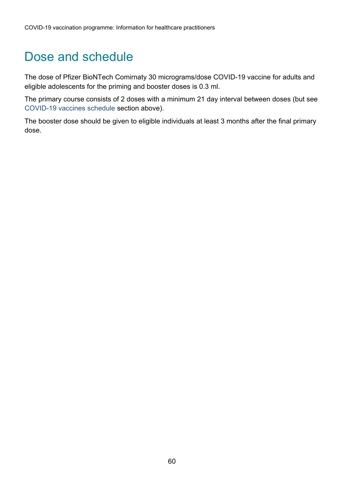#### Dose and schedule

The dose of Pfizer BioNTech Comirnaty 30 micrograms/dose COVID-19 vaccine for adults and eligible adolescents for the priming and booster doses is 0.3 ml.

The primary course consists of 2 doses with a minimum 21 day interval between doses (but see COVID-19 vaccines schedule section above).

The booster dose should be given to eligible individuals at least 3 months after the final primary dose.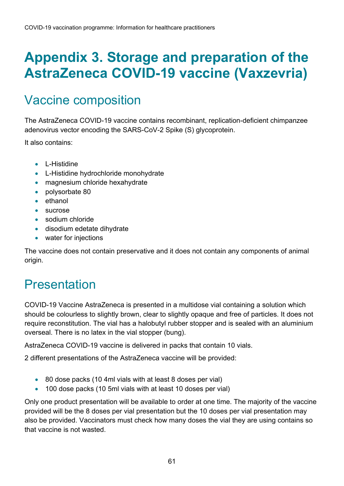# <span id="page-60-0"></span>**Appendix 3. Storage and preparation of the AstraZeneca COVID-19 vaccine (Vaxzevria)**

# <span id="page-60-1"></span>Vaccine composition

The AstraZeneca COVID-19 vaccine contains recombinant, replication-deficient chimpanzee adenovirus vector encoding the SARS-CoV-2 Spike (S) glycoprotein.

It also contains:

- L-Histidine
- L-Histidine hydrochloride monohydrate
- magnesium chloride hexahydrate
- polysorbate 80
- ethanol
- sucrose
- sodium chloride
- disodium edetate dihydrate
- water for injections

The vaccine does not contain preservative and it does not contain any components of animal origin.

## <span id="page-60-2"></span>Presentation

COVID-19 Vaccine AstraZeneca is presented in a multidose vial containing a solution which should be colourless to slightly brown, clear to slightly opaque and free of particles. It does not require reconstitution. The vial has a halobutyl rubber stopper and is sealed with an aluminium overseal. There is no latex in the vial stopper (bung).

AstraZeneca COVID-19 vaccine is delivered in packs that contain 10 vials.

2 different presentations of the AstraZeneca vaccine will be provided:

- 80 dose packs (10 4ml vials with at least 8 doses per vial)
- 100 dose packs (10 5ml vials with at least 10 doses per vial)

Only one product presentation will be available to order at one time. The majority of the vaccine provided will be the 8 doses per vial presentation but the 10 doses per vial presentation may also be provided. Vaccinators must check how many doses the vial they are using contains so that vaccine is not wasted.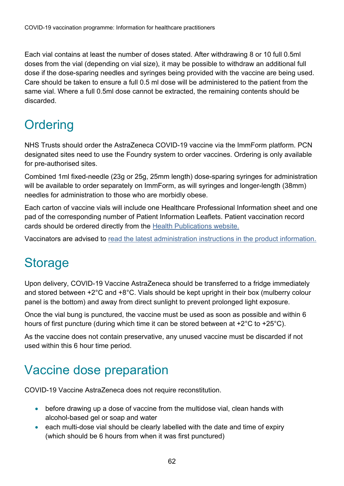Each vial contains at least the number of doses stated. After withdrawing 8 or 10 full 0.5ml doses from the vial (depending on vial size), it may be possible to withdraw an additional full dose if the dose-sparing needles and syringes being provided with the vaccine are being used. Care should be taken to ensure a full 0.5 ml dose will be administered to the patient from the same vial. Where a full 0.5ml dose cannot be extracted, the remaining contents should be discarded.

# <span id="page-61-0"></span>**Ordering**

NHS Trusts should order the AstraZeneca COVID-19 vaccine via the ImmForm platform. PCN designated sites need to use the Foundry system to order vaccines. Ordering is only available for pre-authorised sites.

Combined 1ml fixed-needle (23g or 25g, 25mm length) dose-sparing syringes for administration will be available to order separately on ImmForm, as will syringes and longer-length (38mm) needles for administration to those who are morbidly obese.

Each carton of vaccine vials will include one Healthcare Professional Information sheet and one pad of the corresponding number of Patient Information Leaflets. Patient vaccination record cards should be ordered directly from the [Health Publications website.](https://www.healthpublications.gov.uk/Home.html)

Vaccinators are advised to [read the latest administration instructions in the product information.](http://www.gov.uk/government/publications/regulatory-approval-of-covid-19-vaccine-astrazeneca)

## <span id="page-61-1"></span>**Storage**

Upon delivery, COVID-19 Vaccine AstraZeneca should be transferred to a fridge immediately and stored between +2°C and +8°C. Vials should be kept upright in their box (mulberry colour panel is the bottom) and away from direct sunlight to prevent prolonged light exposure.

Once the vial bung is punctured, the vaccine must be used as soon as possible and within 6 hours of first puncture (during which time it can be stored between at +2°C to +25°C).

As the vaccine does not contain preservative, any unused vaccine must be discarded if not used within this 6 hour time period.

#### <span id="page-61-2"></span>Vaccine dose preparation

COVID-19 Vaccine AstraZeneca does not require reconstitution.

- before drawing up a dose of vaccine from the multidose vial, clean hands with alcohol-based gel or soap and water
- each multi-dose vial should be clearly labelled with the date and time of expiry (which should be 6 hours from when it was first punctured)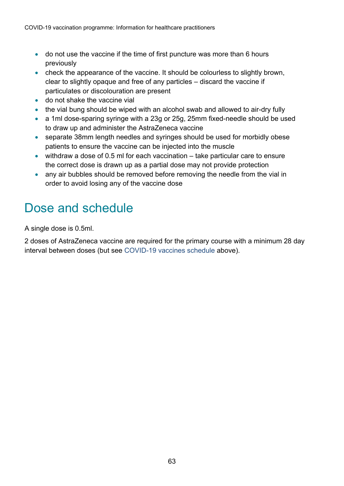- do not use the vaccine if the time of first puncture was more than 6 hours previously
- check the appearance of the vaccine. It should be colourless to slightly brown, clear to slightly opaque and free of any particles – discard the vaccine if particulates or discolouration are present
- do not shake the vaccine vial
- the vial bung should be wiped with an alcohol swab and allowed to air-dry fully
- a 1ml dose-sparing syringe with a 23g or 25g, 25mm fixed-needle should be used to draw up and administer the AstraZeneca vaccine
- separate 38mm length needles and syringes should be used for morbidly obese patients to ensure the vaccine can be injected into the muscle
- withdraw a dose of 0.5 ml for each vaccination take particular care to ensure the correct dose is drawn up as a partial dose may not provide protection
- any air bubbles should be removed before removing the needle from the vial in order to avoid losing any of the vaccine dose

#### <span id="page-62-0"></span>Dose and schedule

A single dose is 0.5ml.

2 doses of AstraZeneca vaccine are required for the primary course with a minimum 28 day interval between doses (but see COVID-19 vaccines schedule above).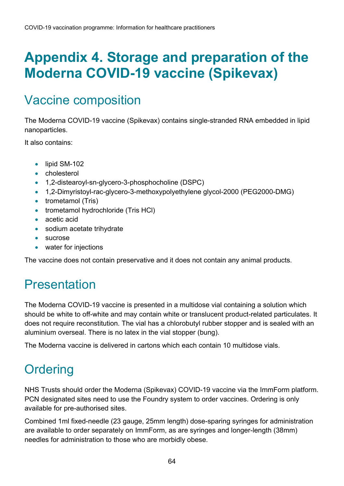# <span id="page-63-0"></span>**Appendix 4. Storage and preparation of the Moderna COVID-19 vaccine (Spikevax)**

# <span id="page-63-1"></span>Vaccine composition

The Moderna COVID-19 vaccine (Spikevax) contains single-stranded RNA embedded in lipid nanoparticles.

It also contains:

- lipid SM-102
- cholesterol
- 1,2-distearoyl-sn-glycero-3-phosphocholine (DSPC)
- 1,2-Dimyristoyl-rac-glycero-3-methoxypolyethylene glycol-2000 (PEG2000-DMG)
- trometamol (Tris)
- trometamol hydrochloride (Tris HCl)
- acetic acid
- sodium acetate trihydrate
- sucrose
- water for injections

The vaccine does not contain preservative and it does not contain any animal products.

## <span id="page-63-2"></span>Presentation

The Moderna COVID-19 vaccine is presented in a multidose vial containing a solution which should be white to off-white and may contain white or translucent product-related particulates. It does not require reconstitution. The vial has a chlorobutyl rubber stopper and is sealed with an aluminium overseal. There is no latex in the vial stopper (bung).

The Moderna vaccine is delivered in cartons which each contain 10 multidose vials.

# <span id="page-63-3"></span>**Ordering**

NHS Trusts should order the Moderna (Spikevax) COVID-19 vaccine via the ImmForm platform. PCN designated sites need to use the Foundry system to order vaccines. Ordering is only available for pre-authorised sites.

Combined 1ml fixed-needle (23 gauge, 25mm length) dose-sparing syringes for administration are available to order separately on ImmForm, as are syringes and longer-length (38mm) needles for administration to those who are morbidly obese.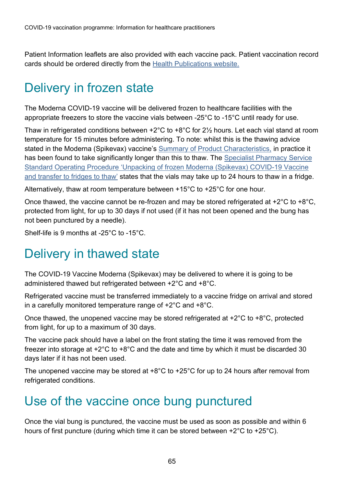Patient Information leaflets are also provided with each vaccine pack. Patient vaccination record cards should be ordered directly from the **Health Publications website.** 

# <span id="page-64-0"></span>Delivery in frozen state

The Moderna COVID-19 vaccine will be delivered frozen to healthcare facilities with the appropriate freezers to store the vaccine vials between -25°C to -15°C until ready for use.

Thaw in refrigerated conditions between +2°C to +8°C for 2½ hours. Let each vial stand at room temperature for 15 minutes before administering. To note: whilst this is the thawing advice stated in the Moderna (Spikevax) vaccine's [Summary of Product Characteristics,](https://www.gov.uk/government/publications/regulatory-approval-of-covid-19-vaccine-moderna) in practice it has been found to take significantly longer than this to thaw. The [Specialist Pharmacy Service](https://www.sps.nhs.uk/articles/unpacking-of-frozen-covid-19-vaccine-moderna-and-transfer-to-fridges-to-thaw-in-trusts-and-vaccination-centres-without-freezers/)  [Standard Operating Procedure 'Unpacking of frozen Moderna \(Spikevax\) COVID-19 Vaccine](https://www.sps.nhs.uk/articles/unpacking-of-frozen-covid-19-vaccine-moderna-and-transfer-to-fridges-to-thaw-in-trusts-and-vaccination-centres-without-freezers/)  [and transfer to fridges to thaw'](https://www.sps.nhs.uk/articles/unpacking-of-frozen-covid-19-vaccine-moderna-and-transfer-to-fridges-to-thaw-in-trusts-and-vaccination-centres-without-freezers/) states that the vials may take up to 24 hours to thaw in a fridge.

Alternatively, thaw at room temperature between +15°C to +25°C for one hour.

Once thawed, the vaccine cannot be re-frozen and may be stored refrigerated at +2°C to +8°C, protected from light, for up to 30 days if not used (if it has not been opened and the bung has not been punctured by a needle).

Shelf-life is 9 months at -25°C to -15°C.

## <span id="page-64-1"></span>Delivery in thawed state

The COVID-19 Vaccine Moderna (Spikevax) may be delivered to where it is going to be administered thawed but refrigerated between +2°C and +8°C.

Refrigerated vaccine must be transferred immediately to a vaccine fridge on arrival and stored in a carefully monitored temperature range of +2°C and +8°C.

Once thawed, the unopened vaccine may be stored refrigerated at +2°C to +8°C, protected from light, for up to a maximum of 30 days.

The vaccine pack should have a label on the front stating the time it was removed from the freezer into storage at +2°C to +8°C and the date and time by which it must be discarded 30 days later if it has not been used.

The unopened vaccine may be stored at +8°C to +25°C for up to 24 hours after removal from refrigerated conditions.

#### <span id="page-64-2"></span>Use of the vaccine once bung punctured

Once the vial bung is punctured, the vaccine must be used as soon as possible and within 6 hours of first puncture (during which time it can be stored between +2°C to +25°C).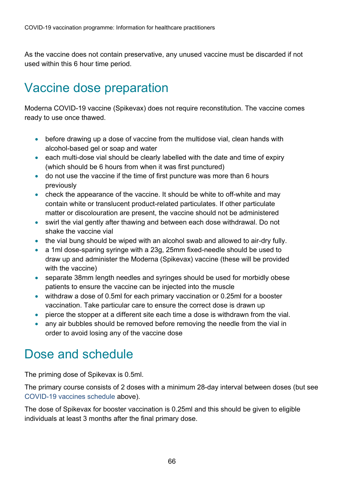As the vaccine does not contain preservative, any unused vaccine must be discarded if not used within this 6 hour time period.

## <span id="page-65-0"></span>Vaccine dose preparation

Moderna COVID-19 vaccine (Spikevax) does not require reconstitution. The vaccine comes ready to use once thawed.

- before drawing up a dose of vaccine from the multidose vial, clean hands with alcohol-based gel or soap and water
- each multi-dose vial should be clearly labelled with the date and time of expiry (which should be 6 hours from when it was first punctured)
- do not use the vaccine if the time of first puncture was more than 6 hours previously
- check the appearance of the vaccine. It should be white to off-white and may contain white or translucent product-related particulates. If other particulate matter or discolouration are present, the vaccine should not be administered
- swirl the vial gently after thawing and between each dose withdrawal. Do not shake the vaccine vial
- the vial bung should be wiped with an alcohol swab and allowed to air-dry fully.
- a 1ml dose-sparing syringe with a 23g, 25mm fixed-needle should be used to draw up and administer the Moderna (Spikevax) vaccine (these will be provided with the vaccine)
- separate 38mm length needles and syringes should be used for morbidly obese patients to ensure the vaccine can be injected into the muscle
- withdraw a dose of 0.5ml for each primary vaccination or 0.25ml for a booster vaccination. Take particular care to ensure the correct dose is drawn up
- pierce the stopper at a different site each time a dose is withdrawn from the vial.
- any air bubbles should be removed before removing the needle from the vial in order to avoid losing any of the vaccine dose

#### <span id="page-65-1"></span>Dose and schedule

The priming dose of Spikevax is 0.5ml.

The primary course consists of 2 doses with a minimum 28-day interval between doses (but see COVID-19 vaccines schedule above).

The dose of Spikevax for booster vaccination is 0.25ml and this should be given to eligible individuals at least 3 months after the final primary dose.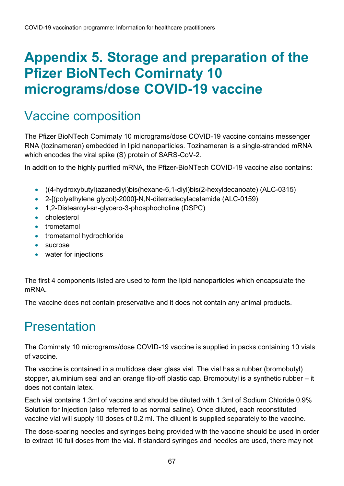# <span id="page-66-0"></span>**Appendix 5. Storage and preparation of the Pfizer BioNTech Comirnaty 10 micrograms/dose COVID-19 vaccine**

#### <span id="page-66-1"></span>Vaccine composition

The Pfizer BioNTech Comirnaty 10 micrograms/dose COVID-19 vaccine contains messenger RNA (tozinameran) embedded in lipid nanoparticles. Tozinameran is a single-stranded mRNA which encodes the viral spike (S) protein of SARS-CoV-2.

In addition to the highly purified mRNA, the Pfizer-BioNTech COVID-19 vaccine also contains:

- ((4-hydroxybutyl)azanediyl)bis(hexane-6,1-diyl)bis(2-hexyldecanoate) (ALC-0315)
- 2-[(polyethylene glycol)-2000]-N,N-ditetradecylacetamide (ALC-0159)
- 1,2-Distearoyl-sn-glycero-3-phosphocholine (DSPC)
- cholesterol
- trometamol
- trometamol hydrochloride
- sucrose
- water for injections

The first 4 components listed are used to form the lipid nanoparticles which encapsulate the mRNA.

The vaccine does not contain preservative and it does not contain any animal products.

#### <span id="page-66-2"></span>**Presentation**

The Comirnaty 10 micrograms/dose COVID-19 vaccine is supplied in packs containing 10 vials of vaccine.

The vaccine is contained in a multidose clear glass vial. The vial has a rubber (bromobutyl) stopper, aluminium seal and an orange flip-off plastic cap. Bromobutyl is a synthetic rubber – it does not contain latex.

Each vial contains 1.3ml of vaccine and should be diluted with 1.3ml of Sodium Chloride 0.9% Solution for Injection (also referred to as normal saline). Once diluted, each reconstituted vaccine vial will supply 10 doses of 0.2 ml. The diluent is supplied separately to the vaccine.

The dose-sparing needles and syringes being provided with the vaccine should be used in order to extract 10 full doses from the vial. If standard syringes and needles are used, there may not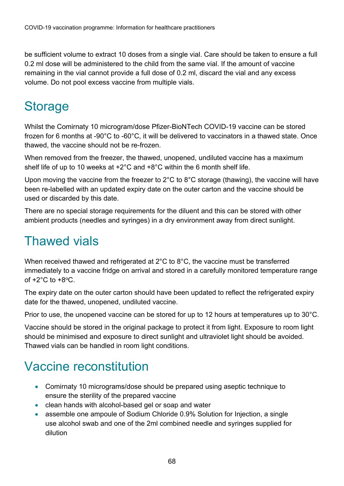be sufficient volume to extract 10 doses from a single vial. Care should be taken to ensure a full 0.2 ml dose will be administered to the child from the same vial. If the amount of vaccine remaining in the vial cannot provide a full dose of 0.2 ml, discard the vial and any excess volume. Do not pool excess vaccine from multiple vials.

### <span id="page-67-0"></span>**Storage**

Whilst the Comirnaty 10 microgram/dose Pfizer-BioNTech COVID-19 vaccine can be stored frozen for 6 months at -90°C to -60°C, it will be delivered to vaccinators in a thawed state. Once thawed, the vaccine should not be re-frozen.

When removed from the freezer, the thawed, unopened, undiluted vaccine has a maximum shelf life of up to 10 weeks at +2°C and +8°C within the 6 month shelf life.

Upon moving the vaccine from the freezer to 2°C to 8°C storage (thawing), the vaccine will have been re-labelled with an updated expiry date on the outer carton and the vaccine should be used or discarded by this date.

There are no special storage requirements for the diluent and this can be stored with other ambient products (needles and syringes) in a dry environment away from direct sunlight.

### <span id="page-67-1"></span>Thawed vials

When received thawed and refrigerated at 2°C to 8°C, the vaccine must be transferred immediately to a vaccine fridge on arrival and stored in a carefully monitored temperature range of  $+2^{\circ}$ C to  $+8^{\circ}$ C.

The expiry date on the outer carton should have been updated to reflect the refrigerated expiry date for the thawed, unopened, undiluted vaccine.

Prior to use, the unopened vaccine can be stored for up to 12 hours at temperatures up to 30°C.

Vaccine should be stored in the original package to protect it from light. Exposure to room light should be minimised and exposure to direct sunlight and ultraviolet light should be avoided. Thawed vials can be handled in room light conditions.

#### <span id="page-67-2"></span>Vaccine reconstitution

- Comirnaty 10 micrograms/dose should be prepared using aseptic technique to ensure the sterility of the prepared vaccine
- clean hands with alcohol-based gel or soap and water
- assemble one ampoule of Sodium Chloride 0.9% Solution for Injection, a single use alcohol swab and one of the 2ml combined needle and syringes supplied for dilution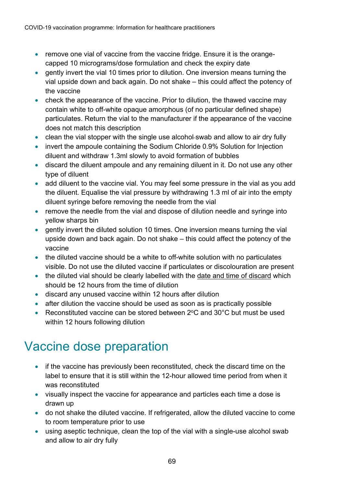- remove one vial of vaccine from the vaccine fridge. Ensure it is the orangecapped 10 micrograms/dose formulation and check the expiry date
- gently invert the vial 10 times prior to dilution. One inversion means turning the vial upside down and back again. Do not shake – this could affect the potency of the vaccine
- check the appearance of the vaccine. Prior to dilution, the thawed vaccine may contain white to off-white opaque amorphous (of no particular defined shape) particulates. Return the vial to the manufacturer if the appearance of the vaccine does not match this description
- clean the vial stopper with the single use alcohol-swab and allow to air dry fully
- invert the ampoule containing the Sodium Chloride 0.9% Solution for Injection diluent and withdraw 1.3ml slowly to avoid formation of bubbles
- discard the diluent ampoule and any remaining diluent in it. Do not use any other type of diluent
- add diluent to the vaccine vial. You may feel some pressure in the vial as you add the diluent. Equalise the vial pressure by withdrawing 1.3 ml of air into the empty diluent syringe before removing the needle from the vial
- remove the needle from the vial and dispose of dilution needle and syringe into yellow sharps bin
- gently invert the diluted solution 10 times. One inversion means turning the vial upside down and back again. Do not shake – this could affect the potency of the vaccine
- the diluted vaccine should be a white to off-white solution with no particulates visible. Do not use the diluted vaccine if particulates or discolouration are present
- the diluted vial should be clearly labelled with the date and time of discard which should be 12 hours from the time of dilution
- discard any unused vaccine within 12 hours after dilution
- after dilution the vaccine should be used as soon as is practically possible
- Reconstituted vaccine can be stored between 2°C and 30°C but must be used within 12 hours following dilution

#### <span id="page-68-0"></span>Vaccine dose preparation

- if the vaccine has previously been reconstituted, check the discard time on the label to ensure that it is still within the 12-hour allowed time period from when it was reconstituted
- visually inspect the vaccine for appearance and particles each time a dose is drawn up
- do not shake the diluted vaccine. If refrigerated, allow the diluted vaccine to come to room temperature prior to use
- using aseptic technique, clean the top of the vial with a single-use alcohol swab and allow to air dry fully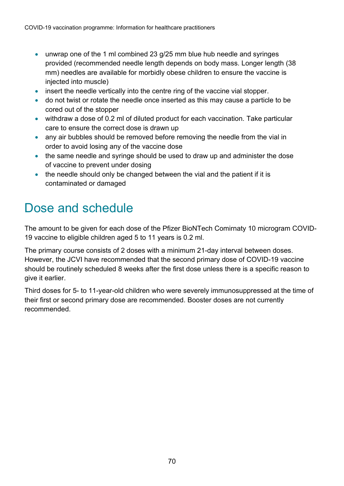- unwrap one of the 1 ml combined 23 g/25 mm blue hub needle and syringes provided (recommended needle length depends on body mass. Longer length (38 mm) needles are available for morbidly obese children to ensure the vaccine is injected into muscle)
- insert the needle vertically into the centre ring of the vaccine vial stopper.
- do not twist or rotate the needle once inserted as this may cause a particle to be cored out of the stopper
- withdraw a dose of 0.2 ml of diluted product for each vaccination. Take particular care to ensure the correct dose is drawn up
- any air bubbles should be removed before removing the needle from the vial in order to avoid losing any of the vaccine dose
- the same needle and syringe should be used to draw up and administer the dose of vaccine to prevent under dosing
- the needle should only be changed between the vial and the patient if it is contaminated or damaged

#### <span id="page-69-0"></span>Dose and schedule

The amount to be given for each dose of the Pfizer BioNTech Comirnaty 10 microgram COVID-19 vaccine to eligible children aged 5 to 11 years is 0.2 ml.

The primary course consists of 2 doses with a minimum 21-day interval between doses. However, the JCVI have recommended that the second primary dose of COVID-19 vaccine should be routinely scheduled 8 weeks after the first dose unless there is a specific reason to give it earlier.

Third doses for 5- to 11-year-old children who were severely immunosuppressed at the time of their first or second primary dose are recommended. Booster doses are not currently recommended.